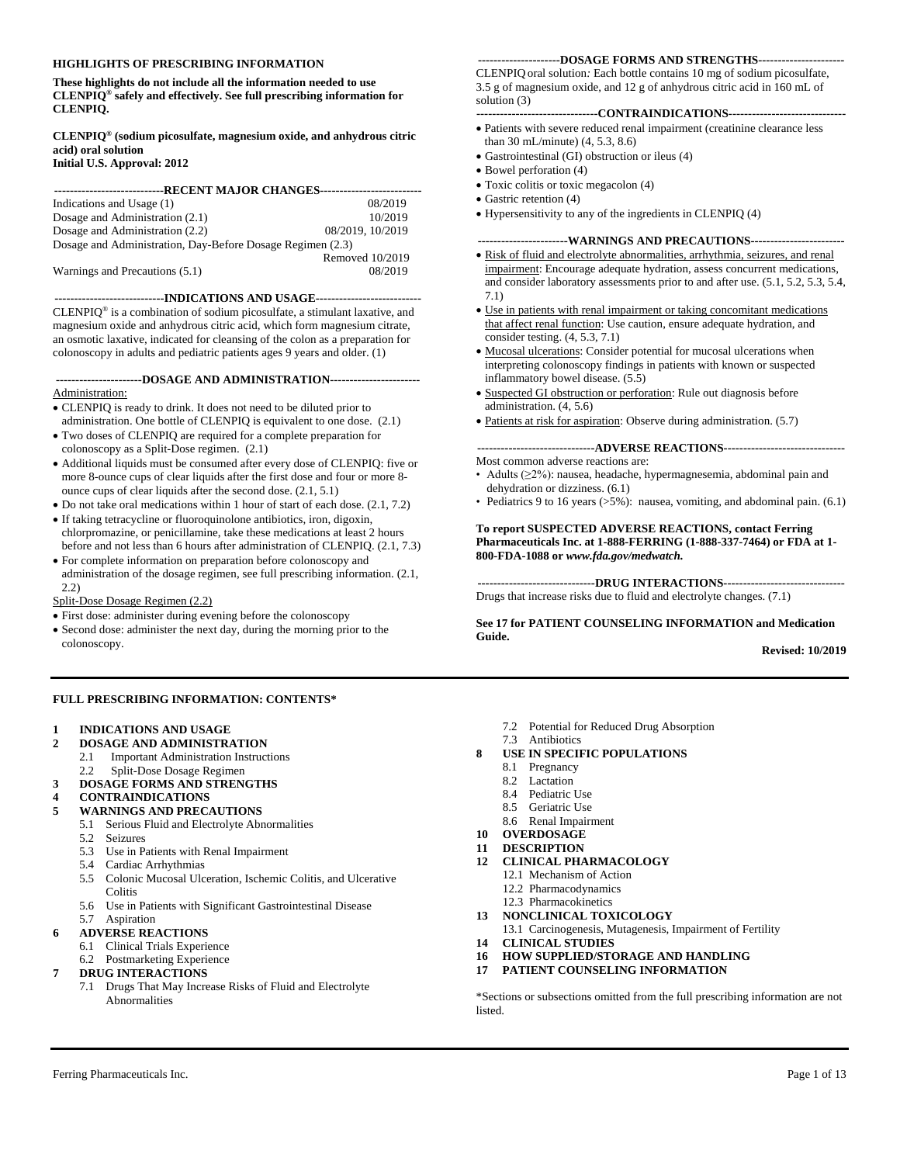#### **HIGHLIGHTS OF PRESCRIBING INFORMATION**

**These highlights do not include all the information needed to use CLENPIQ® safely and effectively. See full prescribing information for CLENPIQ.**

#### **CLENPIQ® (sodium picosulfate, magnesium oxide, and anhydrous citric acid) oral solution Initial U.S. Approval: 2012**

| ---------------------------RECENT MAJOR CHANGES-------------------------- |                  |
|---------------------------------------------------------------------------|------------------|
| Indications and Usage (1)                                                 | 08/2019          |
| Dosage and Administration (2.1)                                           | 10/2019          |
| Dosage and Administration (2.2)                                           | 08/2019. 10/2019 |
| Dosage and Administration, Day-Before Dosage Regimen (2.3)                |                  |
|                                                                           | Removed 10/2019  |
|                                                                           |                  |
| Warnings and Precautions (5.1)                                            | 08/2019          |

**----------------------------INDICATIONS AND USAGE---------------------------**

CLENPIQ® is a combination of sodium picosulfate, a stimulant laxative, and magnesium oxide and anhydrous citric acid, which form magnesium citrate, an osmotic laxative, indicated for cleansing of the colon as a preparation for colonoscopy in adults and pediatric patients ages 9 years and older. (1)

**----------------------DOSAGE AND ADMINISTRATION-----------------------** Administration:

- CLENPIQ is ready to drink. It does not need to be diluted prior to administration. One bottle of CLENPIQ is equivalent to one dose. (2.1)
- Two doses of CLENPIQ are required for a complete preparation for colonoscopy as a Split-Dose regimen. (2.1)
- Additional liquids must be consumed after every dose of CLENPIQ: five or more 8-ounce cups of clear liquids after the first dose and four or more 8 ounce cups of clear liquids after the second dose. (2.1, 5.1)
- Do not take oral medications within 1 hour of start of each dose. (2.1, 7.2)
- If taking tetracycline or fluoroquinolone antibiotics, iron, digoxin, chlorpromazine, or penicillamine, take these medications at least 2 hours before and not less than 6 hours after administration of CLENPIQ. (2.1, 7.3)
- For complete information on preparation before colonoscopy and administration of the dosage regimen, see full prescribing information. (2.1, 2.2)
- Split-Dose Dosage Regimen (2.2)
- First dose: administer during evening before the colonoscopy
- Second dose: administer the next day, during the morning prior to the colonoscopy.

#### **FULL PRESCRIBING INFORMATION: CONTENTS\***

#### **1 INDICATIONS AND USAGE**

- **2 DOSAGE AND ADMINISTRATION**
	- 2.1 Important Administration Instructions

## 2.2 Split-Dose Dosage Regimen

- **3 DOSAGE FORMS AND STRENGTHS**
- **4 CONTRAINDICATIONS**
- **5 WARNINGS AND PRECAUTIONS**
	- 5.1 Serious Fluid and Electrolyte Abnormalities<br>5.2 Seizures
	- **Seizures**
	- 5.3 Use in Patients with Renal Impairment
	- 5.4 Cardiac Arrhythmias
	- 5.5 Colonic Mucosal Ulceration, Ischemic Colitis, and Ulcerative **Colitis**
	- 5.6 Use in Patients with Significant Gastrointestinal Disease
- 5.7 Aspiration

## **6 ADVERSE REACTIONS**

- 6.1 Clinical Trials Experience
- 6.2 Postmarketing Experience
- **7 DRUG INTERACTIONS**
	- 7.1 Drugs That May Increase Risks of Fluid and Electrolyte Abnormalities

#### **---------------------DOSAGE FORMS AND STRENGTHS----------------------**

CLENPIQ oral solution*:* Each bottle contains 10 mg of sodium picosulfate, 3.5 g of magnesium oxide, and 12 g of anhydrous citric acid in 160 mL of solution (3)

**-------------------------------CONTRAINDICATIONS------------------------------**

- Patients with severe reduced renal impairment (creatinine clearance less than 30 mL/minute) (4, 5.3, 8.6)
- Gastrointestinal (GI) obstruction or ileus (4)
- Bowel perforation (4)
- Toxic colitis or toxic megacolon (4)
- Gastric retention (4)
- Hypersensitivity to any of the ingredients in CLENPIQ (4)

#### **-----------------------WARNINGS AND PRECAUTIONS------------------------**

- Risk of fluid and electrolyte abnormalities, arrhythmia, seizures, and renal impairment: Encourage adequate hydration, assess concurrent medications, and consider laboratory assessments prior to and after use. (5.1, 5.2, 5.3, 5.4, 7.1)
- Use in patients with renal impairment or taking concomitant medications that affect renal function: Use caution, ensure adequate hydration, and consider testing. (4, 5.3, 7.1)
- Mucosal ulcerations: Consider potential for mucosal ulcerations when interpreting colonoscopy findings in patients with known or suspected inflammatory bowel disease. (5.5)
- Suspected GI obstruction or perforation: Rule out diagnosis before administration. (4, 5.6)
- Patients at risk for aspiration: Observe during administration. (5.7)

**------------------------------ADVERSE REACTIONS-------------------------------**

- Most common adverse reactions are: • Adults (≥2%): nausea, headache, hypermagnesemia, abdominal pain and dehydration or dizziness. (6.1)
- Pediatrics 9 to 16 years (>5%): nausea, vomiting, and abdominal pain. (6.1)

#### **To report SUSPECTED ADVERSE REACTIONS, contact Ferring Pharmaceuticals Inc. at 1-888-FERRING (1-888-337-7464) or FDA at 1- 800-FDA-1088 or** *www.fda.gov/medwatch.*

**------------------------------DRUG INTERACTIONS-------------------------------**

Drugs that increase risks due to fluid and electrolyte changes. (7.1)

#### **See 17 for PATIENT COUNSELING INFORMATION and Medication Guide.**

#### **Revised: 10/2019**

- 7.2 Potential for Reduced Drug Absorption
- 7.3 Antibiotics
- **8 USE IN SPECIFIC POPULATIONS**
	- 8.1 Pregnancy
	- 8.2 Lactation
	- 8.4 Pediatric Use
	- 8.5 Geriatric Use
	- 8.6 Renal Impairment
- **10 OVERDOSAGE**
- **11 DESCRIPTION**
- - 12.1 Mechanism of Action
	- 12.2 Pharmacodynamics
	- 12.3 Pharmacokinetics
- **13 NONCLINICAL TOXICOLOGY**
- 13.1 Carcinogenesis, Mutagenesis, Impairment of Fertility **14 CLINICAL STUDIES**
- **16 HOW SUPPLIED/STORAGE AND HANDLING**
- **17 PATIENT COUNSELING INFORMATION**

\*Sections or subsections omitted from the full prescribing information are not listed.

**12 CLINICAL PHARMACOLOGY**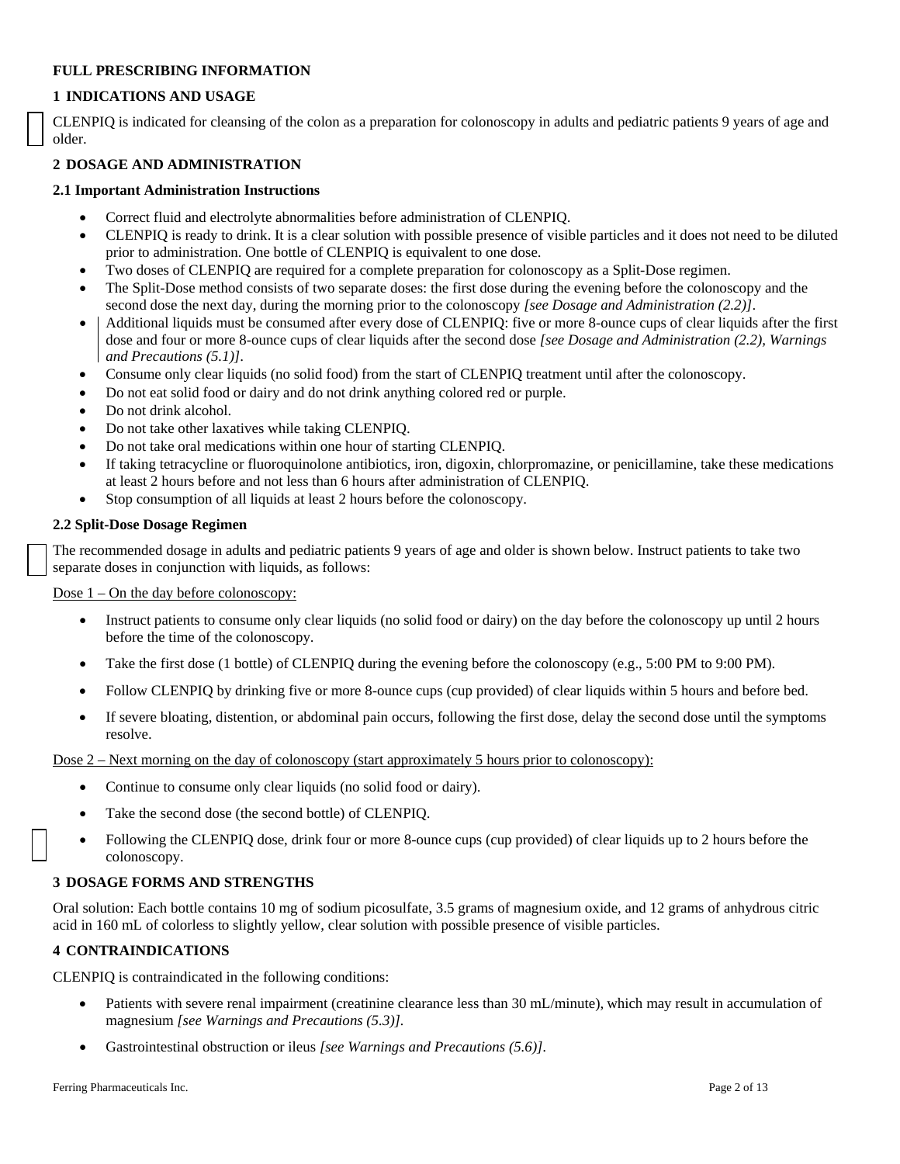## **FULL PRESCRIBING INFORMATION**

## **1 INDICATIONS AND USAGE**

CLENPIQ is indicated for cleansing of the colon as a preparation for colonoscopy in adults and pediatric patients 9 years of age and older.

## **2 DOSAGE AND ADMINISTRATION**

## **2.1 Important Administration Instructions**

- Correct fluid and electrolyte abnormalities before administration of CLENPIQ.
- CLENPIQ is ready to drink. It is a clear solution with possible presence of visible particles and it does not need to be diluted prior to administration. One bottle of CLENPIQ is equivalent to one dose.
- Two doses of CLENPIQ are required for a complete preparation for colonoscopy as a Split-Dose regimen.
- The Split-Dose method consists of two separate doses: the first dose during the evening before the colonoscopy and the second dose the next day, during the morning prior to the colonoscopy *[see Dosage and Administration (2.2)]*.
- Additional liquids must be consumed after every dose of CLENPIQ: five or more 8-ounce cups of clear liquids after the first dose and four or more 8-ounce cups of clear liquids after the second dose *[see Dosage and Administration (2.2), Warnings and Precautions (5.1)]*.
- Consume only clear liquids (no solid food) from the start of CLENPIQ treatment until after the colonoscopy.
- Do not eat solid food or dairy and do not drink anything colored red or purple.
- Do not drink alcohol.
- Do not take other laxatives while taking CLENPIQ.
- Do not take oral medications within one hour of starting CLENPIQ.
- If taking tetracycline or fluoroquinolone antibiotics, iron, digoxin, chlorpromazine, or penicillamine, take these medications at least 2 hours before and not less than 6 hours after administration of CLENPIQ.
- Stop consumption of all liquids at least 2 hours before the colonoscopy.

## **2.2 Split-Dose Dosage Regimen**

The recommended dosage in adults and pediatric patients 9 years of age and older is shown below. Instruct patients to take two separate doses in conjunction with liquids, as follows:

Dose  $1$  – On the day before colonoscopy:

- Instruct patients to consume only clear liquids (no solid food or dairy) on the day before the colonoscopy up until 2 hours before the time of the colonoscopy.
- Take the first dose (1 bottle) of CLENPIQ during the evening before the colonoscopy (e.g., 5:00 PM to 9:00 PM).
- Follow CLENPIQ by drinking five or more 8-ounce cups (cup provided) of clear liquids within 5 hours and before bed.
- If severe bloating, distention, or abdominal pain occurs, following the first dose, delay the second dose until the symptoms resolve.

Dose 2 – Next morning on the day of colonoscopy (start approximately 5 hours prior to colonoscopy):

- Continue to consume only clear liquids (no solid food or dairy).
- Take the second dose (the second bottle) of CLENPIQ.
- Following the CLENPIQ dose, drink four or more 8-ounce cups (cup provided) of clear liquids up to 2 hours before the colonoscopy.

## **3 DOSAGE FORMS AND STRENGTHS**

Oral solution: Each bottle contains 10 mg of sodium picosulfate, 3.5 grams of magnesium oxide, and 12 grams of anhydrous citric acid in 160 mL of colorless to slightly yellow, clear solution with possible presence of visible particles.

## **4 CONTRAINDICATIONS**

CLENPIQ is contraindicated in the following conditions:

- Patients with severe renal impairment (creatinine clearance less than 30 mL/minute), which may result in accumulation of magnesium *[see Warnings and Precautions (5.3)].*
- Gastrointestinal obstruction or ileus *[see Warnings and Precautions (5.6)].*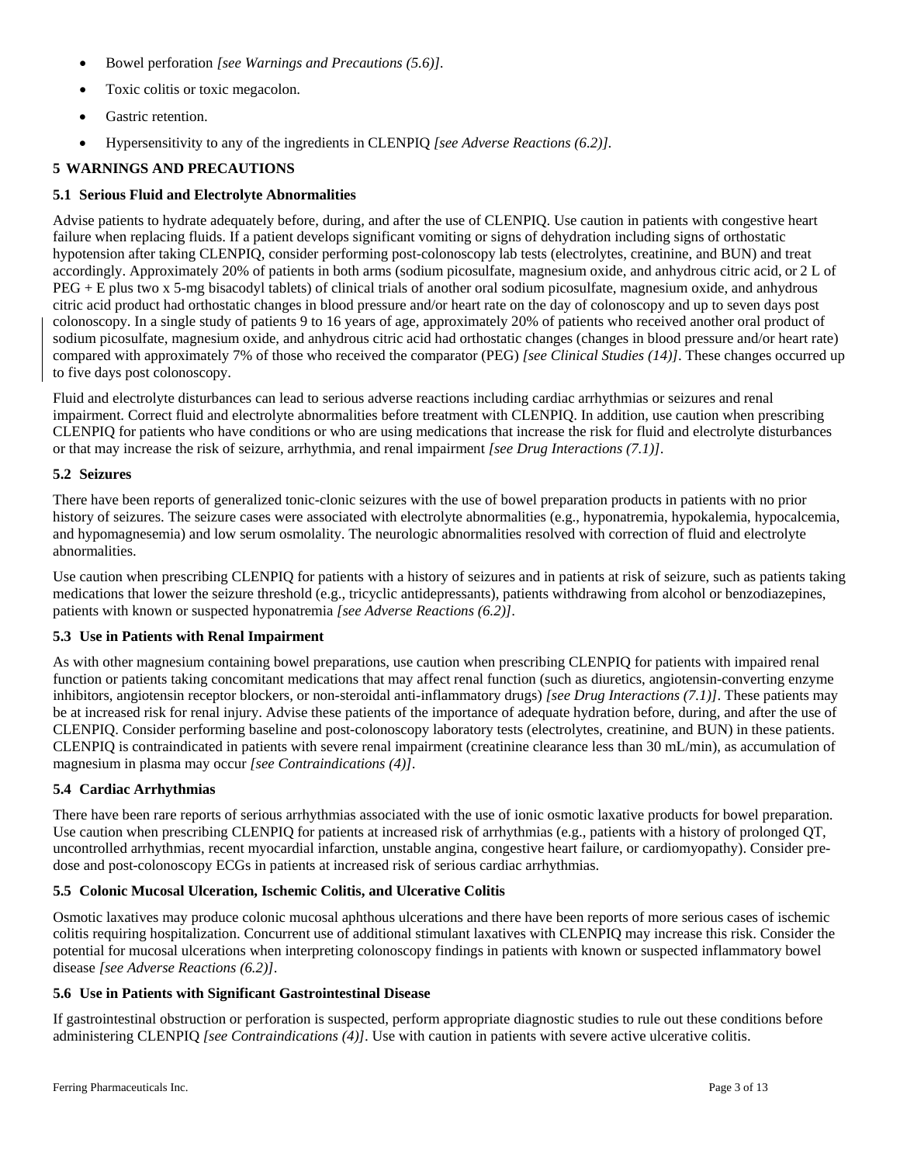- Bowel perforation *[see Warnings and Precautions (5.6)].*
- Toxic colitis or toxic megacolon.
- Gastric retention.
- Hypersensitivity to any of the ingredients in CLENPIQ *[see Adverse Reactions (6.2)].*

# **5 WARNINGS AND PRECAUTIONS**

## **5.1 Serious Fluid and Electrolyte Abnormalities**

Advise patients to hydrate adequately before, during, and after the use of CLENPIQ. Use caution in patients with congestive heart failure when replacing fluids. If a patient develops significant vomiting or signs of dehydration including signs of orthostatic hypotension after taking CLENPIQ, consider performing post-colonoscopy lab tests (electrolytes, creatinine, and BUN) and treat accordingly. Approximately 20% of patients in both arms (sodium picosulfate, magnesium oxide, and anhydrous citric acid, or 2 L of PEG + E plus two x 5-mg bisacodyl tablets) of clinical trials of another oral sodium picosulfate, magnesium oxide, and anhydrous citric acid product had orthostatic changes in blood pressure and/or heart rate on the day of colonoscopy and up to seven days post colonoscopy. In a single study of patients 9 to 16 years of age, approximately 20% of patients who received another oral product of sodium picosulfate, magnesium oxide, and anhydrous citric acid had orthostatic changes (changes in blood pressure and/or heart rate) compared with approximately 7% of those who received the comparator (PEG) *[see Clinical Studies (14)]*. These changes occurred up to five days post colonoscopy.

Fluid and electrolyte disturbances can lead to serious adverse reactions including cardiac arrhythmias or seizures and renal impairment. Correct fluid and electrolyte abnormalities before treatment with CLENPIQ. In addition, use caution when prescribing CLENPIQ for patients who have conditions or who are using medications that increase the risk for fluid and electrolyte disturbances or that may increase the risk of seizure, arrhythmia, and renal impairment *[see Drug Interactions (7.1)]*.

## **5.2 Seizures**

There have been reports of generalized tonic-clonic seizures with the use of bowel preparation products in patients with no prior history of seizures. The seizure cases were associated with electrolyte abnormalities (e.g., hyponatremia, hypokalemia, hypocalcemia, and hypomagnesemia) and low serum osmolality. The neurologic abnormalities resolved with correction of fluid and electrolyte abnormalities.

Use caution when prescribing CLENPIQ for patients with a history of seizures and in patients at risk of seizure, such as patients taking medications that lower the seizure threshold (e.g., tricyclic antidepressants), patients withdrawing from alcohol or benzodiazepines, patients with known or suspected hyponatremia *[see Adverse Reactions (6.2)]*.

## **5.3 Use in Patients with Renal Impairment**

As with other magnesium containing bowel preparations, use caution when prescribing CLENPIQ for patients with impaired renal function or patients taking concomitant medications that may affect renal function (such as diuretics, angiotensin-converting enzyme inhibitors, angiotensin receptor blockers, or non-steroidal anti-inflammatory drugs) *[see Drug Interactions (7.1)]*. These patients may be at increased risk for renal injury. Advise these patients of the importance of adequate hydration before, during, and after the use of CLENPIQ. Consider performing baseline and post-colonoscopy laboratory tests (electrolytes, creatinine, and BUN) in these patients. CLENPIQ is contraindicated in patients with severe renal impairment (creatinine clearance less than 30 mL/min), as accumulation of magnesium in plasma may occur *[see Contraindications (4)]*.

## **5.4 Cardiac Arrhythmias**

There have been rare reports of serious arrhythmias associated with the use of ionic osmotic laxative products for bowel preparation. Use caution when prescribing CLENPIQ for patients at increased risk of arrhythmias (e.g., patients with a history of prolonged QT, uncontrolled arrhythmias, recent myocardial infarction, unstable angina, congestive heart failure, or cardiomyopathy). Consider predose and post-colonoscopy ECGs in patients at increased risk of serious cardiac arrhythmias.

## **5.5 Colonic Mucosal Ulceration, Ischemic Colitis, and Ulcerative Colitis**

Osmotic laxatives may produce colonic mucosal aphthous ulcerations and there have been reports of more serious cases of ischemic colitis requiring hospitalization. Concurrent use of additional stimulant laxatives with CLENPIQ may increase this risk. Consider the potential for mucosal ulcerations when interpreting colonoscopy findings in patients with known or suspected inflammatory bowel disease *[see Adverse Reactions (6.2)]*.

## **5.6 Use in Patients with Significant Gastrointestinal Disease**

If gastrointestinal obstruction or perforation is suspected, perform appropriate diagnostic studies to rule out these conditions before administering CLENPIQ *[see Contraindications (4)]*. Use with caution in patients with severe active ulcerative colitis.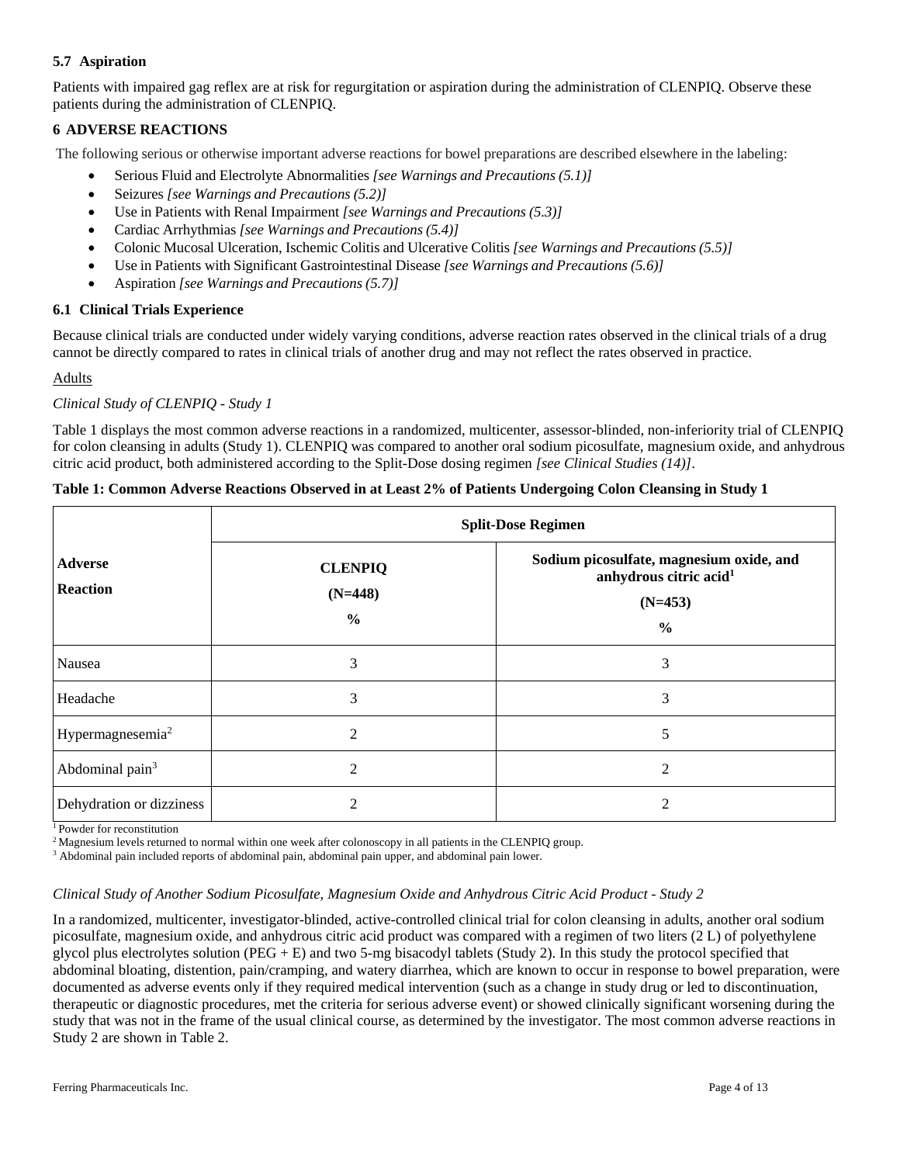# **5.7 Aspiration**

Patients with impaired gag reflex are at risk for regurgitation or aspiration during the administration of CLENPIQ. Observe these patients during the administration of CLENPIQ.

# **6 ADVERSE REACTIONS**

The following serious or otherwise important adverse reactions for bowel preparations are described elsewhere in the labeling:

- Serious Fluid and Electrolyte Abnormalities *[see Warnings and Precautions (5.1)]*
- Seizures *[see Warnings and Precautions (5.2)]*
- Use in Patients with Renal Impairment *[see Warnings and Precautions (5.3)]*
- Cardiac Arrhythmias *[see Warnings and Precautions (5.4)]*
- Colonic Mucosal Ulceration, Ischemic Colitis and Ulcerative Colitis *[see Warnings and Precautions (5.5)]*
- Use in Patients with Significant Gastrointestinal Disease *[see Warnings and Precautions (5.6)]*
- Aspiration *[see Warnings and Precautions (5.7)]*

## **6.1 Clinical Trials Experience**

Because clinical trials are conducted under widely varying conditions, adverse reaction rates observed in the clinical trials of a drug cannot be directly compared to rates in clinical trials of another drug and may not reflect the rates observed in practice.

## Adults

## *Clinical Study of CLENPIQ - Study 1*

Table 1 displays the most common adverse reactions in a randomized, multicenter, assessor-blinded, non-inferiority trial of CLENPIQ for colon cleansing in adults (Study 1). CLENPIQ was compared to another oral sodium picosulfate, magnesium oxide, and anhydrous citric acid product, both administered according to the Split-Dose dosing regimen *[see Clinical Studies (14)]*.

|                                   | <b>Split-Dose Regimen</b>                    |                                                                                                              |  |  |
|-----------------------------------|----------------------------------------------|--------------------------------------------------------------------------------------------------------------|--|--|
| <b>Adverse</b><br><b>Reaction</b> | <b>CLENPIQ</b><br>$(N=448)$<br>$\frac{0}{0}$ | Sodium picosulfate, magnesium oxide, and<br>anhydrous citric acid <sup>1</sup><br>$(N=453)$<br>$\frac{0}{0}$ |  |  |
| Nausea                            | 3                                            | 3                                                                                                            |  |  |
| Headache                          | 3                                            | 3                                                                                                            |  |  |
| Hypermagnesemia <sup>2</sup>      | 2                                            | 5                                                                                                            |  |  |
| Abdominal pain <sup>3</sup>       | $\overline{2}$                               | $\overline{2}$                                                                                               |  |  |
| Dehydration or dizziness          | 2                                            | $\overline{2}$                                                                                               |  |  |

## **Table 1: Common Adverse Reactions Observed in at Least 2% of Patients Undergoing Colon Cleansing in Study 1**

1 Powder for reconstitution

<sup>2</sup> Magnesium levels returned to normal within one week after colonoscopy in all patients in the CLENPIQ group.

<sup>3</sup> Abdominal pain included reports of abdominal pain, abdominal pain upper, and abdominal pain lower.

# *Clinical Study of Another Sodium Picosulfate, Magnesium Oxide and Anhydrous Citric Acid Product - Study 2*

In a randomized, multicenter, investigator-blinded, active-controlled clinical trial for colon cleansing in adults, another oral sodium picosulfate, magnesium oxide, and anhydrous citric acid product was compared with a regimen of two liters (2 L) of polyethylene glycol plus electrolytes solution (PEG + E) and two 5-mg bisacodyl tablets (Study 2). In this study the protocol specified that abdominal bloating, distention, pain/cramping, and watery diarrhea, which are known to occur in response to bowel preparation, were documented as adverse events only if they required medical intervention (such as a change in study drug or led to discontinuation, therapeutic or diagnostic procedures, met the criteria for serious adverse event) or showed clinically significant worsening during the study that was not in the frame of the usual clinical course, as determined by the investigator. The most common adverse reactions in Study 2 are shown in Table 2.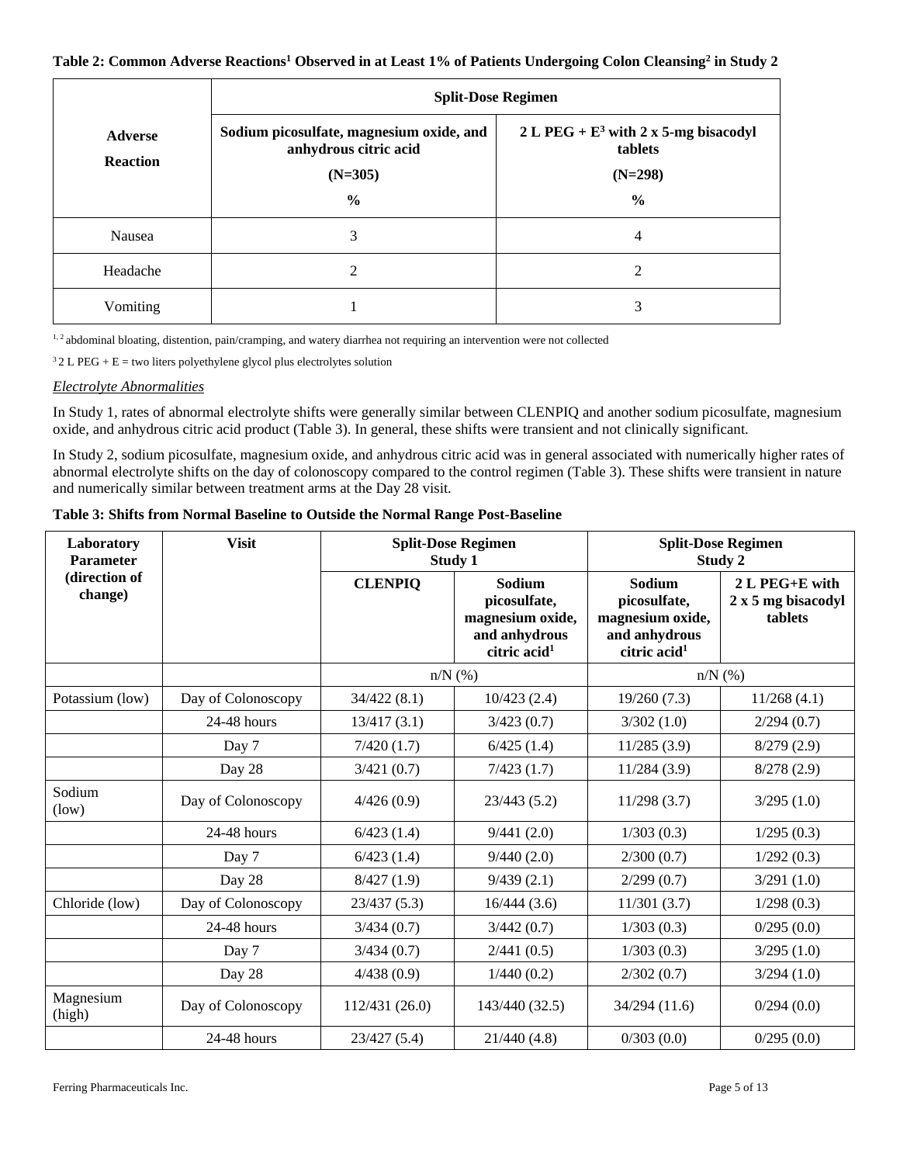## **Table 2: Common Adverse Reactions1 Observed in at Least 1% of Patients Undergoing Colon Cleansing2 in Study 2**

|                                   | <b>Split-Dose Regimen</b>                                         |                                                    |  |  |
|-----------------------------------|-------------------------------------------------------------------|----------------------------------------------------|--|--|
| <b>Adverse</b><br><b>Reaction</b> | Sodium picosulfate, magnesium oxide, and<br>anhydrous citric acid | 2 L PEG + $E^3$ with 2 x 5-mg bisacodyl<br>tablets |  |  |
|                                   | $(N=305)$                                                         | $(N=298)$                                          |  |  |
|                                   | $\frac{6}{6}$                                                     | $\frac{6}{9}$                                      |  |  |
| Nausea                            | 3                                                                 | 4                                                  |  |  |
| Headache                          | 2                                                                 | 2                                                  |  |  |
| Vomiting                          |                                                                   | 3                                                  |  |  |

<sup>1,2</sup> abdominal bloating, distention, pain/cramping, and watery diarrhea not requiring an intervention were not collected

 $32 L PEG + E =$  two liters polyethylene glycol plus electrolytes solution

## *Electrolyte Abnormalities*

In Study 1, rates of abnormal electrolyte shifts were generally similar between CLENPIQ and another sodium picosulfate, magnesium oxide, and anhydrous citric acid product (Table 3). In general, these shifts were transient and not clinically significant.

In Study 2, sodium picosulfate, magnesium oxide, and anhydrous citric acid was in general associated with numerically higher rates of abnormal electrolyte shifts on the day of colonoscopy compared to the control regimen (Table 3). These shifts were transient in nature and numerically similar between treatment arms at the Day 28 visit.

## **Table 3: Shifts from Normal Baseline to Outside the Normal Range Post-Baseline**

| Laboratory<br><b>Parameter</b> | <b>Visit</b>       | <b>Split-Dose Regimen</b><br>Study 1 |                                                                                         |                                                                                         | <b>Split-Dose Regimen</b><br>Study 2                  |
|--------------------------------|--------------------|--------------------------------------|-----------------------------------------------------------------------------------------|-----------------------------------------------------------------------------------------|-------------------------------------------------------|
| (direction of<br>change)       |                    | <b>CLENPIO</b>                       | Sodium<br>picosulfate,<br>magnesium oxide,<br>and anhydrous<br>citric acid <sup>1</sup> | Sodium<br>picosulfate,<br>magnesium oxide,<br>and anhydrous<br>citric acid <sup>1</sup> | $2 L P E G + E$ with<br>2 x 5 mg bisacodyl<br>tablets |
|                                |                    | $n/N$ $(\%)$                         |                                                                                         | $n/N$ (%)                                                                               |                                                       |
| Potassium (low)                | Day of Colonoscopy | 34/422(8.1)                          | 10/423(2.4)                                                                             | 19/260(7.3)                                                                             | 11/268(4.1)                                           |
|                                | 24-48 hours        | 13/417(3.1)                          | 3/423(0.7)                                                                              | 3/302(1.0)                                                                              | 2/294(0.7)                                            |
|                                | Day 7              | 7/420(1.7)                           | 6/425(1.4)                                                                              | 11/285(3.9)                                                                             | 8/279(2.9)                                            |
|                                | Day 28             | 3/421(0.7)                           | 7/423(1.7)                                                                              | 11/284(3.9)                                                                             | 8/278(2.9)                                            |
| Sodium<br>(low)                | Day of Colonoscopy | 4/426(0.9)                           | 23/443(5.2)                                                                             | 11/298(3.7)                                                                             | 3/295(1.0)                                            |
|                                | 24-48 hours        | 6/423(1.4)                           | 9/441(2.0)                                                                              | 1/303(0.3)                                                                              | 1/295(0.3)                                            |
|                                | Day 7              | 6/423(1.4)                           | 9/440(2.0)                                                                              | 2/300(0.7)                                                                              | 1/292(0.3)                                            |
|                                | Day 28             | 8/427(1.9)                           | 9/439(2.1)                                                                              | 2/299(0.7)                                                                              | 3/291(1.0)                                            |
| Chloride (low)                 | Day of Colonoscopy | 23/437(5.3)                          | 16/444(3.6)                                                                             | 11/301(3.7)                                                                             | 1/298(0.3)                                            |
|                                | 24-48 hours        | 3/434(0.7)                           | 3/442(0.7)                                                                              | 1/303(0.3)                                                                              | 0/295(0.0)                                            |
|                                | Day 7              | 3/434(0.7)                           | 2/441(0.5)                                                                              | 1/303(0.3)                                                                              | 3/295(1.0)                                            |
|                                | Day 28             | 4/438(0.9)                           | 1/440(0.2)                                                                              | 2/302(0.7)                                                                              | 3/294(1.0)                                            |
| Magnesium<br>(high)            | Day of Colonoscopy | 112/431 (26.0)                       | 143/440 (32.5)                                                                          | 34/294 (11.6)                                                                           | 0/294(0.0)                                            |
|                                | 24-48 hours        | 23/427 (5.4)                         | 21/440(4.8)                                                                             | 0/303(0.0)                                                                              | 0/295(0.0)                                            |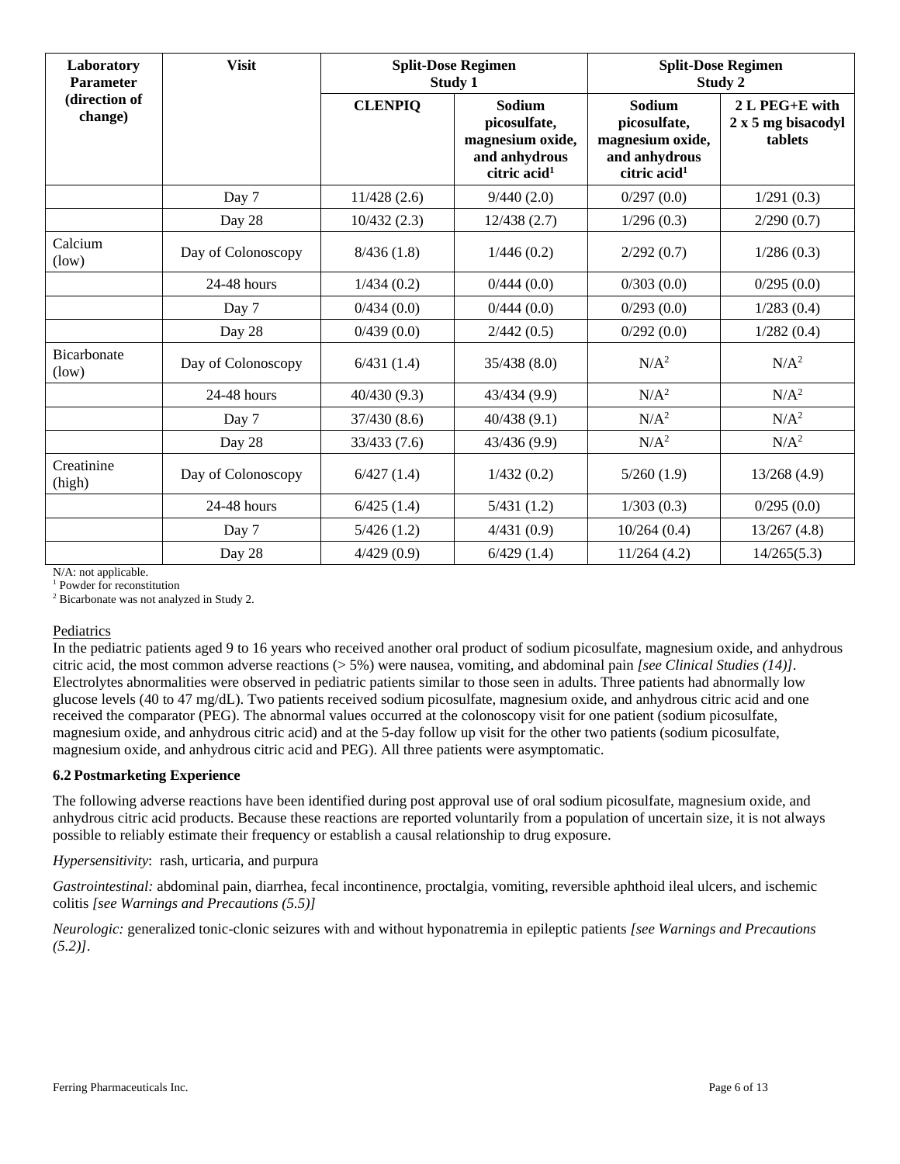| Laboratory<br><b>Parameter</b> | <b>Visit</b>       | <b>Split-Dose Regimen</b><br><b>Study 1</b> |                                                                                         | <b>Split-Dose Regimen</b><br>Study 2                                                    |                                                 |
|--------------------------------|--------------------|---------------------------------------------|-----------------------------------------------------------------------------------------|-----------------------------------------------------------------------------------------|-------------------------------------------------|
| (direction of<br>change)       |                    | <b>CLENPIQ</b>                              | Sodium<br>picosulfate,<br>magnesium oxide,<br>and anhydrous<br>citric acid <sup>1</sup> | Sodium<br>picosulfate,<br>magnesium oxide,<br>and anhydrous<br>citric acid <sup>1</sup> | 2 L PEG+E with<br>2 x 5 mg bisacodyl<br>tablets |
|                                | Day 7              | 11/428(2.6)                                 | 9/440(2.0)                                                                              | 0/297(0.0)                                                                              | 1/291(0.3)                                      |
|                                | Day 28             | 10/432(2.3)                                 | 12/438(2.7)                                                                             | 1/296(0.3)                                                                              | 2/290(0.7)                                      |
| Calcium<br>(low)               | Day of Colonoscopy | 8/436(1.8)                                  | 1/446(0.2)                                                                              | 2/292(0.7)                                                                              | 1/286(0.3)                                      |
|                                | 24-48 hours        | 1/434(0.2)                                  | 0/444(0.0)                                                                              | 0/303(0.0)                                                                              | 0/295(0.0)                                      |
|                                | Day 7              | 0/434(0.0)                                  | 0/444(0.0)                                                                              | 0/293(0.0)                                                                              | 1/283(0.4)                                      |
|                                | Day 28             | 0/439(0.0)                                  | 2/442(0.5)                                                                              | 0/292(0.0)                                                                              | 1/282(0.4)                                      |
| Bicarbonate<br>(low)           | Day of Colonoscopy | 6/431(1.4)                                  | 35/438(8.0)                                                                             | N/A <sup>2</sup>                                                                        | $N/A^2$                                         |
|                                | $24-48$ hours      | 40/430(9.3)                                 | 43/434 (9.9)                                                                            | $N/A^2$                                                                                 | N/A <sup>2</sup>                                |
|                                | Day 7              | 37/430(8.6)                                 | 40/438(9.1)                                                                             | $N/A^2$                                                                                 | N/A <sup>2</sup>                                |
|                                | Day 28             | 33/433 (7.6)                                | 43/436 (9.9)                                                                            | $N/A^2$                                                                                 | N/A <sup>2</sup>                                |
| Creatinine<br>(high)           | Day of Colonoscopy | 6/427(1.4)                                  | 1/432(0.2)                                                                              | 5/260(1.9)                                                                              | 13/268(4.9)                                     |
|                                | $24-48$ hours      | 6/425(1.4)                                  | 5/431(1.2)                                                                              | 1/303(0.3)                                                                              | 0/295(0.0)                                      |
|                                | Day 7              | 5/426(1.2)                                  | 4/431(0.9)                                                                              | 10/264(0.4)                                                                             | 13/267(4.8)                                     |
|                                | Day 28             | 4/429(0.9)                                  | 6/429(1.4)                                                                              | 11/264(4.2)                                                                             | 14/265(5.3)                                     |

N/A: not applicable.

<sup>1</sup> Powder for reconstitution

<sup>2</sup> Bicarbonate was not analyzed in Study 2.

## Pediatrics

In the pediatric patients aged 9 to 16 years who received another oral product of sodium picosulfate, magnesium oxide, and anhydrous citric acid, the most common adverse reactions (> 5%) were nausea, vomiting, and abdominal pain *[see Clinical Studies (14)]*. Electrolytes abnormalities were observed in pediatric patients similar to those seen in adults. Three patients had abnormally low glucose levels (40 to 47 mg/dL). Two patients received sodium picosulfate, magnesium oxide, and anhydrous citric acid and one received the comparator (PEG). The abnormal values occurred at the colonoscopy visit for one patient (sodium picosulfate, magnesium oxide, and anhydrous citric acid) and at the 5-day follow up visit for the other two patients (sodium picosulfate, magnesium oxide, and anhydrous citric acid and PEG). All three patients were asymptomatic.

## **6.2 Postmarketing Experience**

The following adverse reactions have been identified during post approval use of oral sodium picosulfate, magnesium oxide, and anhydrous citric acid products. Because these reactions are reported voluntarily from a population of uncertain size, it is not always possible to reliably estimate their frequency or establish a causal relationship to drug exposure.

*Hypersensitivity*: rash, urticaria, and purpura

*Gastrointestinal:* abdominal pain, diarrhea, fecal incontinence, proctalgia, vomiting, reversible aphthoid ileal ulcers, and ischemic colitis *[see Warnings and Precautions (5.5)]*

*Neurologic:* generalized tonic-clonic seizures with and without hyponatremia in epileptic patients *[see Warnings and Precautions (5.2)]*.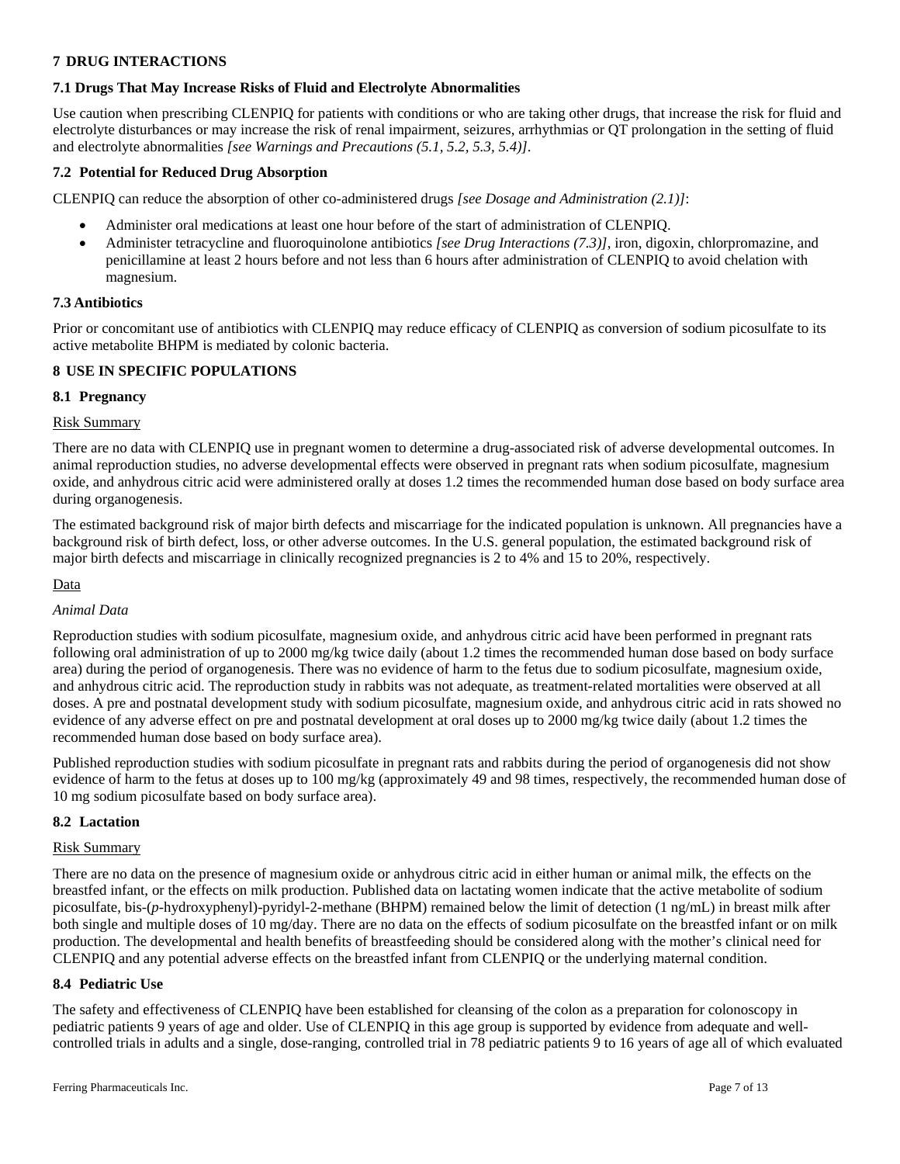## **7 DRUG INTERACTIONS**

# **7.1 Drugs That May Increase Risks of Fluid and Electrolyte Abnormalities**

Use caution when prescribing CLENPIQ for patients with conditions or who are taking other drugs, that increase the risk for fluid and electrolyte disturbances or may increase the risk of renal impairment, seizures, arrhythmias or QT prolongation in the setting of fluid and electrolyte abnormalities *[see Warnings and Precautions (5.1, 5.2, 5.3, 5.4)]*.

## **7.2 Potential for Reduced Drug Absorption**

CLENPIQ can reduce the absorption of other co-administered drugs *[see Dosage and Administration (2.1)]*:

- Administer oral medications at least one hour before of the start of administration of CLENPIQ.
- Administer tetracycline and fluoroquinolone antibiotics *[see Drug Interactions (7.3)]*, iron, digoxin, chlorpromazine, and penicillamine at least 2 hours before and not less than 6 hours after administration of CLENPIQ to avoid chelation with magnesium.

## **7.3 Antibiotics**

Prior or concomitant use of antibiotics with CLENPIQ may reduce efficacy of CLENPIQ as conversion of sodium picosulfate to its active metabolite BHPM is mediated by colonic bacteria.

## **8 USE IN SPECIFIC POPULATIONS**

## **8.1 Pregnancy**

## Risk Summary

There are no data with CLENPIQ use in pregnant women to determine a drug-associated risk of adverse developmental outcomes. In animal reproduction studies, no adverse developmental effects were observed in pregnant rats when sodium picosulfate, magnesium oxide, and anhydrous citric acid were administered orally at doses 1.2 times the recommended human dose based on body surface area during organogenesis.

The estimated background risk of major birth defects and miscarriage for the indicated population is unknown. All pregnancies have a background risk of birth defect, loss, or other adverse outcomes. In the U.S. general population, the estimated background risk of major birth defects and miscarriage in clinically recognized pregnancies is 2 to 4% and 15 to 20%, respectively.

## Data

## *Animal Data*

Reproduction studies with sodium picosulfate, magnesium oxide, and anhydrous citric acid have been performed in pregnant rats following oral administration of up to 2000 mg/kg twice daily (about 1.2 times the recommended human dose based on body surface area) during the period of organogenesis. There was no evidence of harm to the fetus due to sodium picosulfate, magnesium oxide, and anhydrous citric acid. The reproduction study in rabbits was not adequate, as treatment-related mortalities were observed at all doses. A pre and postnatal development study with sodium picosulfate, magnesium oxide, and anhydrous citric acid in rats showed no evidence of any adverse effect on pre and postnatal development at oral doses up to 2000 mg/kg twice daily (about 1.2 times the recommended human dose based on body surface area).

Published reproduction studies with sodium picosulfate in pregnant rats and rabbits during the period of organogenesis did not show evidence of harm to the fetus at doses up to 100 mg/kg (approximately 49 and 98 times, respectively, the recommended human dose of 10 mg sodium picosulfate based on body surface area).

## **8.2 Lactation**

## Risk Summary

There are no data on the presence of magnesium oxide or anhydrous citric acid in either human or animal milk, the effects on the breastfed infant, or the effects on milk production. Published data on lactating women indicate that the active metabolite of sodium picosulfate, bis-(*p*-hydroxyphenyl)-pyridyl-2-methane (BHPM) remained below the limit of detection (1 ng/mL) in breast milk after both single and multiple doses of 10 mg/day. There are no data on the effects of sodium picosulfate on the breastfed infant or on milk production. The developmental and health benefits of breastfeeding should be considered along with the mother's clinical need for CLENPIQ and any potential adverse effects on the breastfed infant from CLENPIQ or the underlying maternal condition.

## **8.4 Pediatric Use**

The safety and effectiveness of CLENPIQ have been established for cleansing of the colon as a preparation for colonoscopy in pediatric patients 9 years of age and older. Use of CLENPIQ in this age group is supported by evidence from adequate and wellcontrolled trials in adults and a single, dose-ranging, controlled trial in 78 pediatric patients 9 to 16 years of age all of which evaluated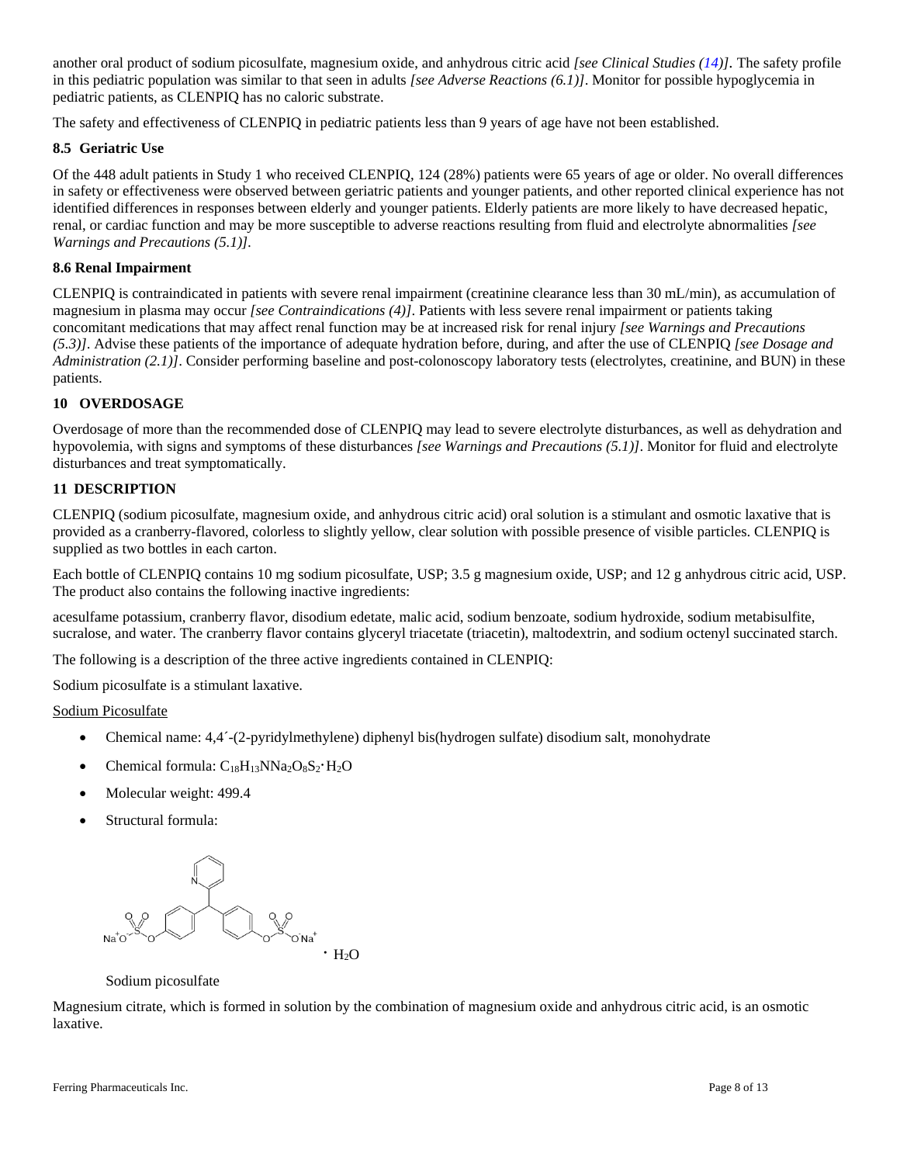another oral product of sodium picosulfate, magnesium oxide, and anhydrous citric acid *[see Clinical Studies (14)].* The safety profile in this pediatric population was similar to that seen in adults *[see Adverse Reactions (6.1)]*. Monitor for possible hypoglycemia in pediatric patients, as CLENPIQ has no caloric substrate.

The safety and effectiveness of CLENPIQ in pediatric patients less than 9 years of age have not been established.

## **8.5 Geriatric Use**

Of the 448 adult patients in Study 1 who received CLENPIQ, 124 (28%) patients were 65 years of age or older. No overall differences in safety or effectiveness were observed between geriatric patients and younger patients, and other reported clinical experience has not identified differences in responses between elderly and younger patients. Elderly patients are more likely to have decreased hepatic, renal, or cardiac function and may be more susceptible to adverse reactions resulting from fluid and electrolyte abnormalities *[see Warnings and Precautions (5.1)].*

## **8.6 Renal Impairment**

CLENPIQ is contraindicated in patients with severe renal impairment (creatinine clearance less than 30 mL/min), as accumulation of magnesium in plasma may occur *[see Contraindications (4)]*. Patients with less severe renal impairment or patients taking concomitant medications that may affect renal function may be at increased risk for renal injury *[see Warnings and Precautions (5.3)]*. Advise these patients of the importance of adequate hydration before, during, and after the use of CLENPIQ *[see Dosage and Administration (2.1)]*. Consider performing baseline and post-colonoscopy laboratory tests (electrolytes, creatinine, and BUN) in these patients.

## **10 OVERDOSAGE**

Overdosage of more than the recommended dose of CLENPIQ may lead to severe electrolyte disturbances, as well as dehydration and hypovolemia, with signs and symptoms of these disturbances *[see Warnings and Precautions (5.1)]*. Monitor for fluid and electrolyte disturbances and treat symptomatically.

## **11 DESCRIPTION**

CLENPIQ (sodium picosulfate, magnesium oxide, and anhydrous citric acid) oral solution is a stimulant and osmotic laxative that is provided as a cranberry-flavored, colorless to slightly yellow, clear solution with possible presence of visible particles. CLENPIQ is supplied as two bottles in each carton.

Each bottle of CLENPIQ contains 10 mg sodium picosulfate, USP; 3.5 g magnesium oxide, USP; and 12 g anhydrous citric acid, USP. The product also contains the following inactive ingredients:

acesulfame potassium, cranberry flavor, disodium edetate, malic acid, sodium benzoate, sodium hydroxide, sodium metabisulfite, sucralose, and water. The cranberry flavor contains glyceryl triacetate (triacetin), maltodextrin, and sodium octenyl succinated starch.

The following is a description of the three active ingredients contained in CLENPIQ:

Sodium picosulfate is a stimulant laxative.

## Sodium Picosulfate

- Chemical name:  $4,4^-(2$ -pyridylmethylene) diphenyl bis(hydrogen sulfate) disodium salt, monohydrate
- Chemical formula:  $C_{18}H_{13}NNa_2O_8S_2 \cdot H_2O$
- Molecular weight: 499.4
- Structural formula:



#### Sodium picosulfate

Magnesium citrate, which is formed in solution by the combination of magnesium oxide and anhydrous citric acid, is an osmotic laxative.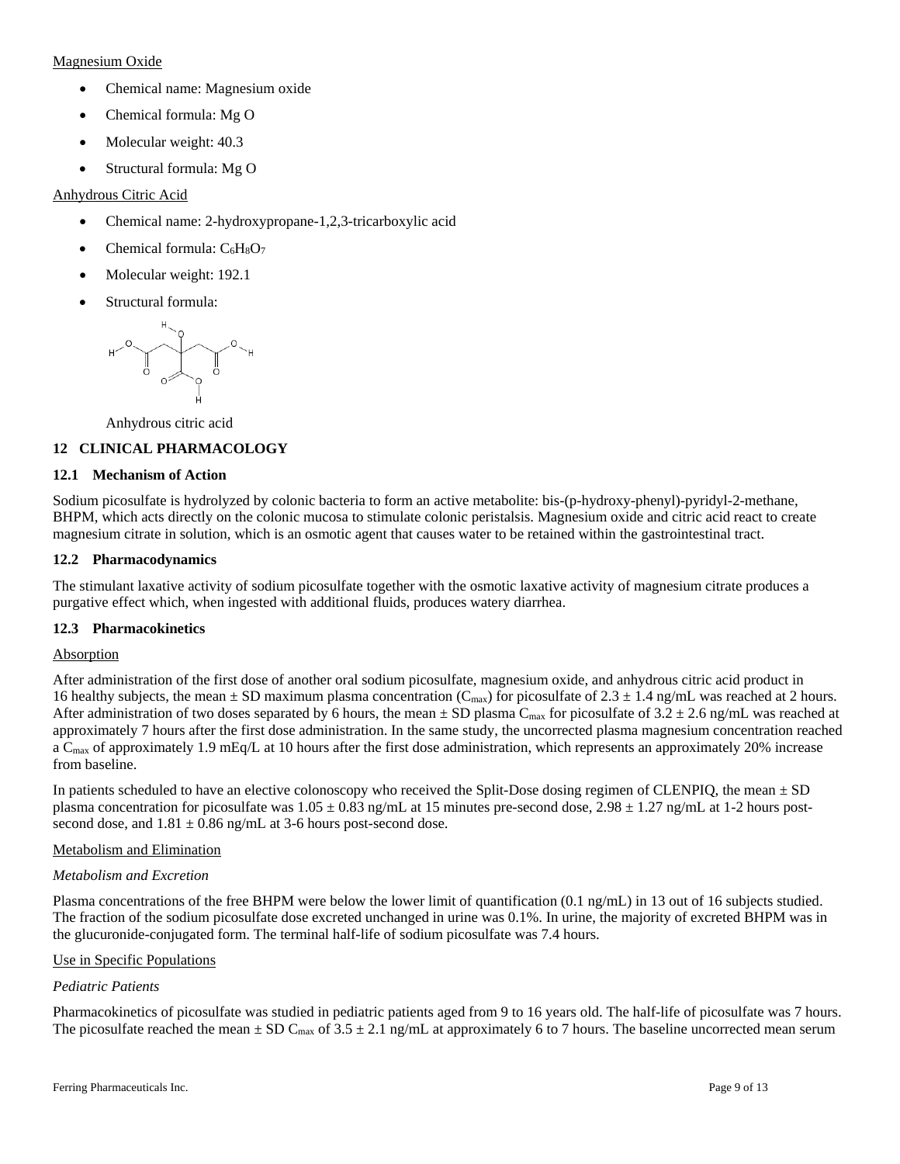## Magnesium Oxide

- Chemical name: Magnesium oxide
- Chemical formula: Mg O
- Molecular weight: 40.3
- Structural formula: Mg O

## Anhydrous Citric Acid

- Chemical name: 2-hydroxypropane-1,2,3-tricarboxylic acid
- Chemical formula:  $C_6H_8O_7$
- Molecular weight: 192.1
- Structural formula:



Anhydrous citric acid

## **12 CLINICAL PHARMACOLOGY**

## **12.1 Mechanism of Action**

Sodium picosulfate is hydrolyzed by colonic bacteria to form an active metabolite: bis-(p-hydroxy-phenyl)-pyridyl-2-methane, BHPM, which acts directly on the colonic mucosa to stimulate colonic peristalsis. Magnesium oxide and citric acid react to create magnesium citrate in solution, which is an osmotic agent that causes water to be retained within the gastrointestinal tract.

## **12.2 Pharmacodynamics**

The stimulant laxative activity of sodium picosulfate together with the osmotic laxative activity of magnesium citrate produces a purgative effect which, when ingested with additional fluids, produces watery diarrhea.

## **12.3 Pharmacokinetics**

## Absorption

After administration of the first dose of another oral sodium picosulfate, magnesium oxide, and anhydrous citric acid product in 16 healthy subjects, the mean  $\pm$  SD maximum plasma concentration (C<sub>max</sub>) for picosulfate of 2.3  $\pm$  1.4 ng/mL was reached at 2 hours. After administration of two doses separated by 6 hours, the mean  $\pm$  SD plasma C<sub>max</sub> for picosulfate of 3.2  $\pm$  2.6 ng/mL was reached at approximately 7 hours after the first dose administration. In the same study, the uncorrected plasma magnesium concentration reached a C<sub>max</sub> of approximately 1.9 mEq/L at 10 hours after the first dose administration, which represents an approximately 20% increase from baseline.

In patients scheduled to have an elective colonoscopy who received the Split-Dose dosing regimen of CLENPIQ, the mean  $\pm$  SD plasma concentration for picosulfate was  $1.05 \pm 0.83$  ng/mL at 15 minutes pre-second dose,  $2.98 \pm 1.27$  ng/mL at 1-2 hours postsecond dose, and  $1.81 \pm 0.86$  ng/mL at 3-6 hours post-second dose.

## Metabolism and Elimination

## *Metabolism and Excretion*

Plasma concentrations of the free BHPM were below the lower limit of quantification (0.1 ng/mL) in 13 out of 16 subjects studied. The fraction of the sodium picosulfate dose excreted unchanged in urine was 0.1%. In urine, the majority of excreted BHPM was in the glucuronide-conjugated form. The terminal half-life of sodium picosulfate was 7.4 hours.

## Use in Specific Populations

## *Pediatric Patients*

Pharmacokinetics of picosulfate was studied in pediatric patients aged from 9 to 16 years old. The half-life of picosulfate was 7 hours. The picosulfate reached the mean  $\pm$  SD C<sub>max</sub> of 3.5  $\pm$  2.1 ng/mL at approximately 6 to 7 hours. The baseline uncorrected mean serum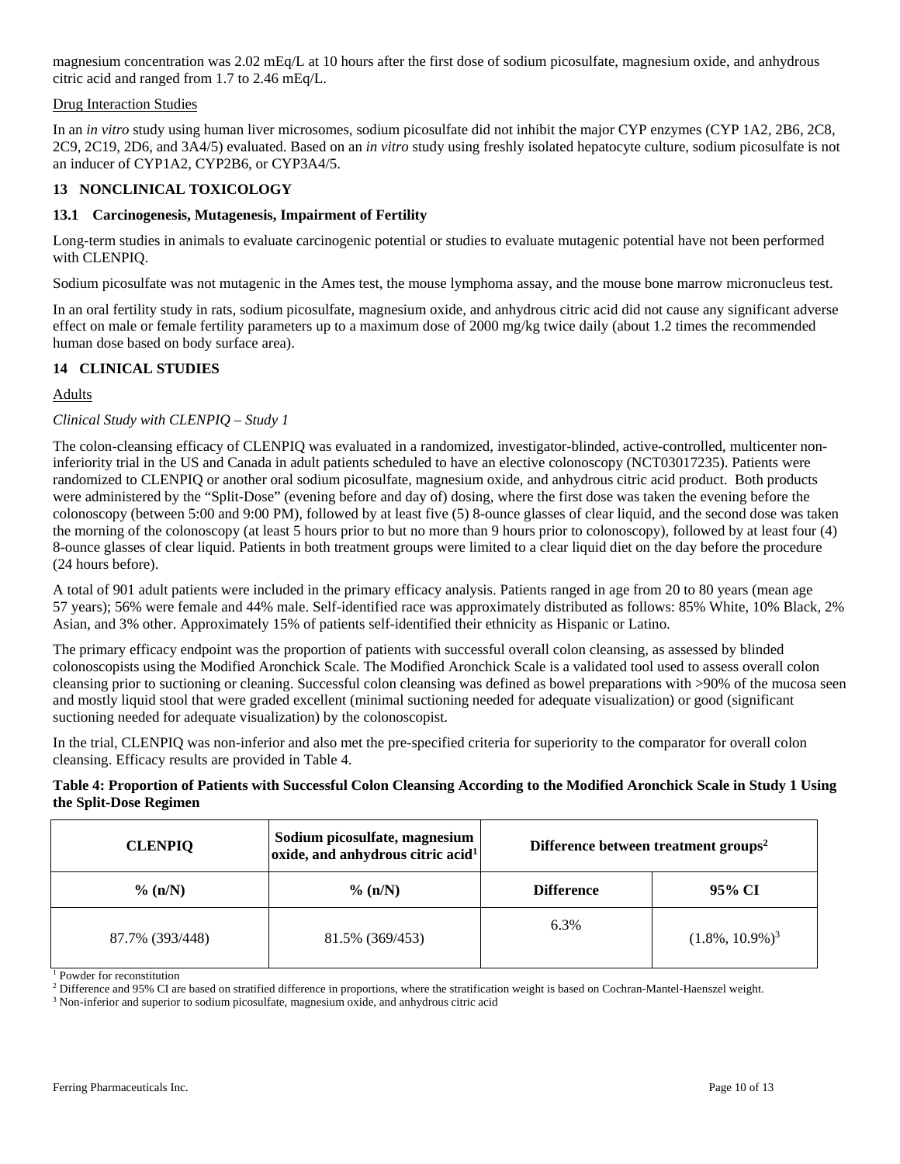magnesium concentration was 2.02 mEq/L at 10 hours after the first dose of sodium picosulfate, magnesium oxide, and anhydrous citric acid and ranged from 1.7 to 2.46 mEq/L.

## Drug Interaction Studies

In an *in vitro* study using human liver microsomes, sodium picosulfate did not inhibit the major CYP enzymes (CYP 1A2, 2B6, 2C8, 2C9, 2C19, 2D6, and 3A4/5) evaluated. Based on an *in vitro* study using freshly isolated hepatocyte culture, sodium picosulfate is not an inducer of CYP1A2, CYP2B6, or CYP3A4/5.

## **13 NONCLINICAL TOXICOLOGY**

## **13.1 Carcinogenesis, Mutagenesis, Impairment of Fertility**

Long-term studies in animals to evaluate carcinogenic potential or studies to evaluate mutagenic potential have not been performed with CLENPIQ.

Sodium picosulfate was not mutagenic in the Ames test, the mouse lymphoma assay, and the mouse bone marrow micronucleus test.

In an oral fertility study in rats, sodium picosulfate, magnesium oxide, and anhydrous citric acid did not cause any significant adverse effect on male or female fertility parameters up to a maximum dose of 2000 mg/kg twice daily (about 1.2 times the recommended human dose based on body surface area).

## **14 CLINICAL STUDIES**

## Adults

## *Clinical Study with CLENPIQ – Study 1*

The colon-cleansing efficacy of CLENPIQ was evaluated in a randomized, investigator-blinded, active-controlled, multicenter noninferiority trial in the US and Canada in adult patients scheduled to have an elective colonoscopy (NCT03017235). Patients were randomized to CLENPIQ or another oral sodium picosulfate, magnesium oxide, and anhydrous citric acid product. Both products were administered by the "Split-Dose" (evening before and day of) dosing, where the first dose was taken the evening before the colonoscopy (between 5:00 and 9:00 PM), followed by at least five (5) 8-ounce glasses of clear liquid, and the second dose was taken the morning of the colonoscopy (at least 5 hours prior to but no more than 9 hours prior to colonoscopy), followed by at least four (4) 8-ounce glasses of clear liquid. Patients in both treatment groups were limited to a clear liquid diet on the day before the procedure (24 hours before).

A total of 901 adult patients were included in the primary efficacy analysis. Patients ranged in age from 20 to 80 years (mean age 57 years); 56% were female and 44% male. Self-identified race was approximately distributed as follows: 85% White, 10% Black, 2% Asian, and 3% other. Approximately 15% of patients self-identified their ethnicity as Hispanic or Latino.

The primary efficacy endpoint was the proportion of patients with successful overall colon cleansing, as assessed by blinded colonoscopists using the Modified Aronchick Scale. The Modified Aronchick Scale is a validated tool used to assess overall colon cleansing prior to suctioning or cleaning. Successful colon cleansing was defined as bowel preparations with >90% of the mucosa seen and mostly liquid stool that were graded excellent (minimal suctioning needed for adequate visualization) or good (significant suctioning needed for adequate visualization) by the colonoscopist.

In the trial, CLENPIQ was non-inferior and also met the pre-specified criteria for superiority to the comparator for overall colon cleansing. Efficacy results are provided in Table 4.

## **Table 4: Proportion of Patients with Successful Colon Cleansing According to the Modified Aronchick Scale in Study 1 Using the Split-Dose Regimen**

| <b>CLENPIQ</b>  | Sodium picosulfate, magnesium<br>$\alpha$ oxide, and anhydrous citric acid <sup>1</sup> | Difference between treatment groups <sup>2</sup> |                                |
|-----------------|-----------------------------------------------------------------------------------------|--------------------------------------------------|--------------------------------|
| $\%$ (n/N)      | $\%$ (n/N)                                                                              | <b>Difference</b>                                | 95% CI                         |
| 87.7% (393/448) | 81.5% (369/453)                                                                         | 6.3%                                             | $(1.8\%, 10.9\%)$ <sup>3</sup> |

<sup>1</sup> Powder for reconstitution

<sup>2</sup> Difference and 95% CI are based on stratified difference in proportions, where the stratification weight is based on Cochran-Mantel-Haenszel weight.

<sup>3</sup> Non-inferior and superior to sodium picosulfate, magnesium oxide, and anhydrous citric acid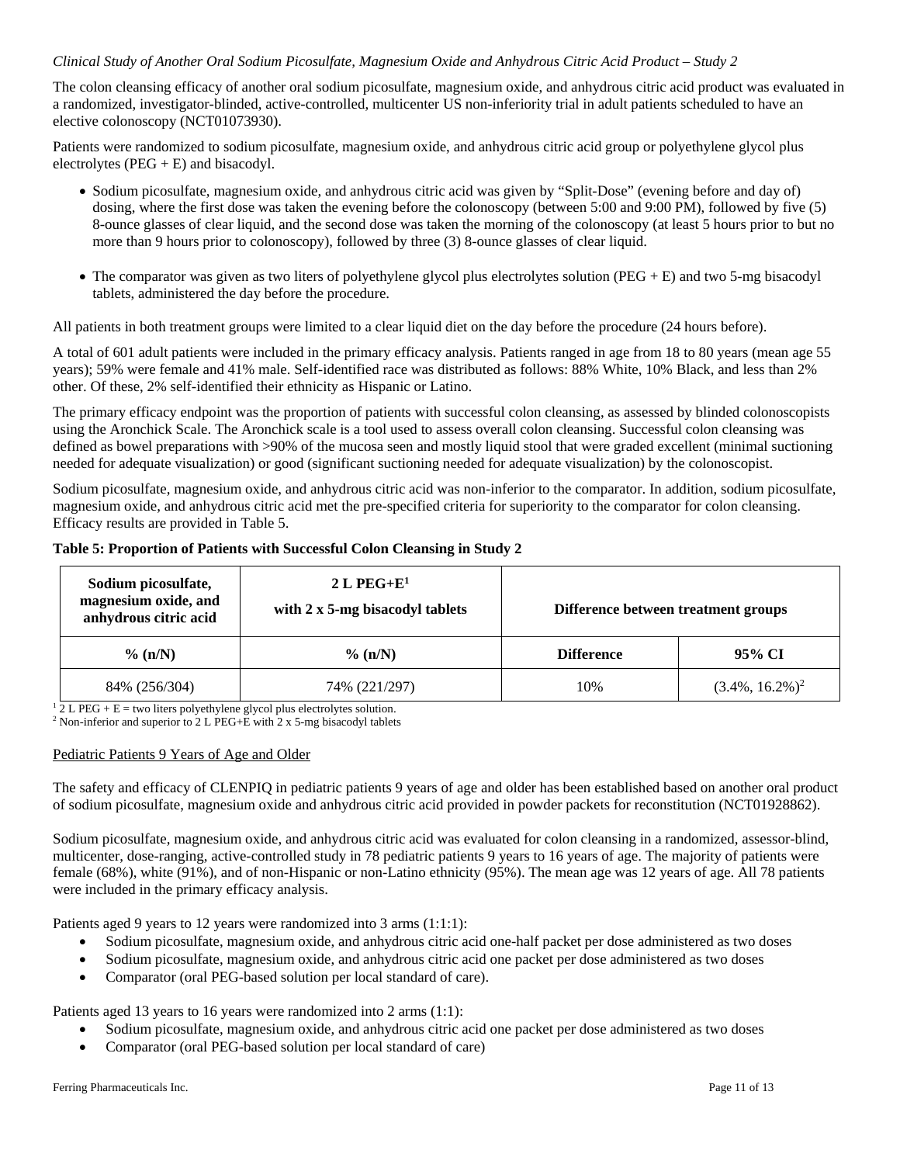## *Clinical Study of Another Oral Sodium Picosulfate, Magnesium Oxide and Anhydrous Citric Acid Product – Study 2*

The colon cleansing efficacy of another oral sodium picosulfate, magnesium oxide, and anhydrous citric acid product was evaluated in a randomized, investigator-blinded, active-controlled, multicenter US non-inferiority trial in adult patients scheduled to have an elective colonoscopy (NCT01073930).

Patients were randomized to sodium picosulfate, magnesium oxide, and anhydrous citric acid group or polyethylene glycol plus electrolytes  $(PEG + E)$  and bisacodyl.

- Sodium picosulfate, magnesium oxide, and anhydrous citric acid was given by "Split-Dose" (evening before and day of) dosing, where the first dose was taken the evening before the colonoscopy (between 5:00 and 9:00 PM), followed by five (5) 8-ounce glasses of clear liquid, and the second dose was taken the morning of the colonoscopy (at least 5 hours prior to but no more than 9 hours prior to colonoscopy), followed by three (3) 8-ounce glasses of clear liquid.
- The comparator was given as two liters of polyethylene glycol plus electrolytes solution (PEG + E) and two 5-mg bisacodyl tablets, administered the day before the procedure.

All patients in both treatment groups were limited to a clear liquid diet on the day before the procedure (24 hours before).

A total of 601 adult patients were included in the primary efficacy analysis. Patients ranged in age from 18 to 80 years (mean age 55 years); 59% were female and 41% male. Self-identified race was distributed as follows: 88% White, 10% Black, and less than 2% other. Of these, 2% self-identified their ethnicity as Hispanic or Latino.

The primary efficacy endpoint was the proportion of patients with successful colon cleansing, as assessed by blinded colonoscopists using the Aronchick Scale. The Aronchick scale is a tool used to assess overall colon cleansing. Successful colon cleansing was defined as bowel preparations with >90% of the mucosa seen and mostly liquid stool that were graded excellent (minimal suctioning needed for adequate visualization) or good (significant suctioning needed for adequate visualization) by the colonoscopist.

Sodium picosulfate, magnesium oxide, and anhydrous citric acid was non-inferior to the comparator. In addition, sodium picosulfate, magnesium oxide, and anhydrous citric acid met the pre-specified criteria for superiority to the comparator for colon cleansing. Efficacy results are provided in Table 5.

| Table 5: Proportion of Patients with Successful Colon Cleansing in Study 2 |  |  |
|----------------------------------------------------------------------------|--|--|
|----------------------------------------------------------------------------|--|--|

| Sodium picosulfate,<br>magnesium oxide, and<br>anhydrous citric acid | $2 L P E G + E1$<br>with 2 x 5-mg bisacodyl tablets | Difference between treatment groups |                     |
|----------------------------------------------------------------------|-----------------------------------------------------|-------------------------------------|---------------------|
| $\%$ (n/N)                                                           | $\%$ (n/N)                                          | <b>Difference</b>                   | 95% CI              |
| 84% (256/304)                                                        | 74% (221/297)                                       | 10%                                 | $(3.4\%, 16.2\%)^2$ |

 $1 \overline{2}$  L PEG + E = two liters polyethylene glycol plus electrolytes solution.

<sup>2</sup> Non-inferior and superior to 2 L PEG+E with 2 x 5-mg bisacodyl tablets

## Pediatric Patients 9 Years of Age and Older

The safety and efficacy of CLENPIQ in pediatric patients 9 years of age and older has been established based on another oral product of sodium picosulfate, magnesium oxide and anhydrous citric acid provided in powder packets for reconstitution (NCT01928862).

Sodium picosulfate, magnesium oxide, and anhydrous citric acid was evaluated for colon cleansing in a randomized, assessor-blind, multicenter, dose-ranging, active-controlled study in 78 pediatric patients 9 years to 16 years of age. The majority of patients were female (68%), white (91%), and of non-Hispanic or non-Latino ethnicity (95%). The mean age was 12 years of age. All 78 patients were included in the primary efficacy analysis.

Patients aged 9 years to 12 years were randomized into 3 arms (1:1:1):

- Sodium picosulfate, magnesium oxide, and anhydrous citric acid one-half packet per dose administered as two doses
- Sodium picosulfate, magnesium oxide, and anhydrous citric acid one packet per dose administered as two doses
- Comparator (oral PEG-based solution per local standard of care).

Patients aged 13 years to 16 years were randomized into 2 arms (1:1):

- Sodium picosulfate, magnesium oxide, and anhydrous citric acid one packet per dose administered as two doses
- Comparator (oral PEG-based solution per local standard of care)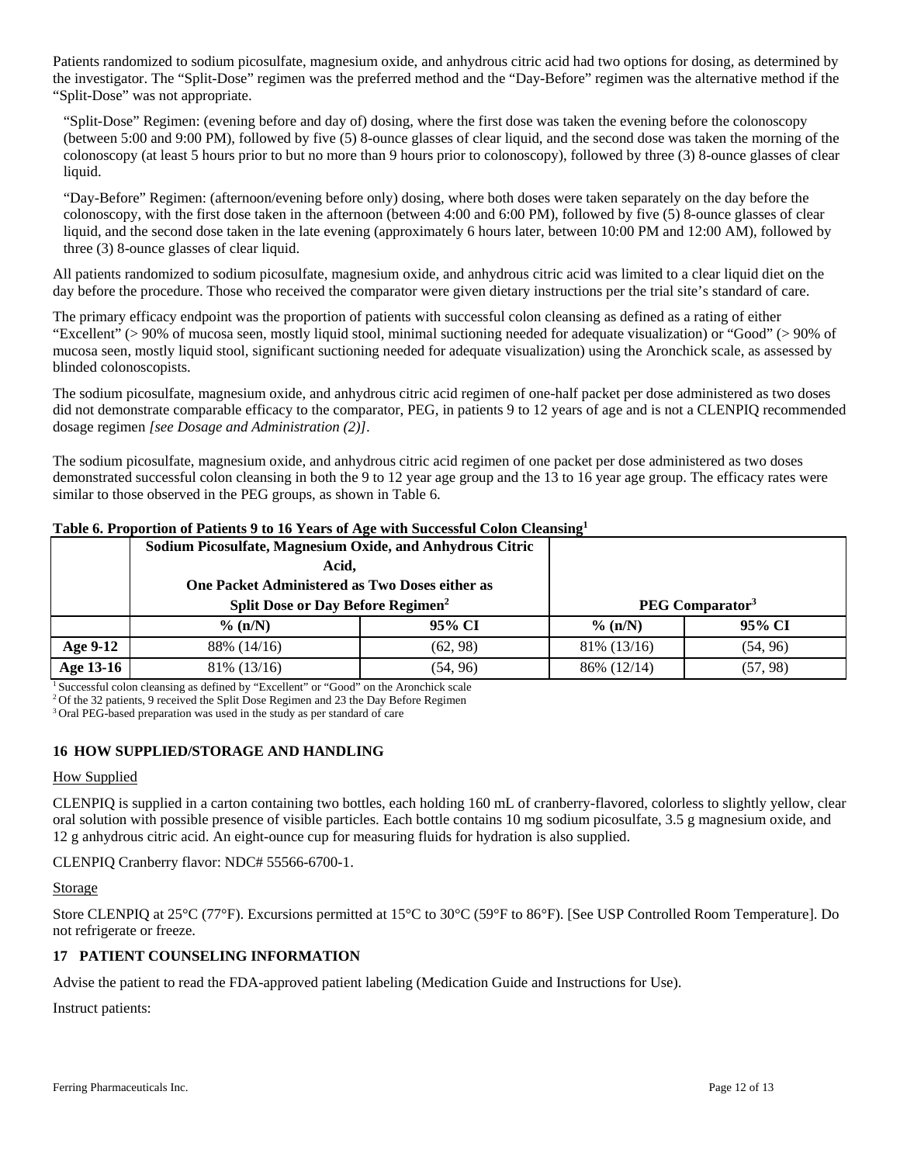Patients randomized to sodium picosulfate, magnesium oxide, and anhydrous citric acid had two options for dosing, as determined by the investigator. The "Split-Dose" regimen was the preferred method and the "Day-Before" regimen was the alternative method if the "Split-Dose" was not appropriate.

"Split-Dose" Regimen: (evening before and day of) dosing, where the first dose was taken the evening before the colonoscopy (between 5:00 and 9:00 PM), followed by five (5) 8-ounce glasses of clear liquid, and the second dose was taken the morning of the colonoscopy (at least 5 hours prior to but no more than 9 hours prior to colonoscopy), followed by three (3) 8-ounce glasses of clear liquid.

"Day-Before" Regimen: (afternoon/evening before only) dosing, where both doses were taken separately on the day before the colonoscopy, with the first dose taken in the afternoon (between 4:00 and 6:00 PM), followed by five (5) 8-ounce glasses of clear liquid, and the second dose taken in the late evening (approximately 6 hours later, between 10:00 PM and 12:00 AM), followed by three (3) 8-ounce glasses of clear liquid.

All patients randomized to sodium picosulfate, magnesium oxide, and anhydrous citric acid was limited to a clear liquid diet on the day before the procedure. Those who received the comparator were given dietary instructions per the trial site's standard of care.

The primary efficacy endpoint was the proportion of patients with successful colon cleansing as defined as a rating of either "Excellent" (> 90% of mucosa seen, mostly liquid stool, minimal suctioning needed for adequate visualization) or "Good" (> 90% of mucosa seen, mostly liquid stool, significant suctioning needed for adequate visualization) using the Aronchick scale, as assessed by blinded colonoscopists.

The sodium picosulfate, magnesium oxide, and anhydrous citric acid regimen of one-half packet per dose administered as two doses did not demonstrate comparable efficacy to the comparator, PEG, in patients 9 to 12 years of age and is not a CLENPIQ recommended dosage regimen *[see Dosage and Administration (2)]*.

The sodium picosulfate, magnesium oxide, and anhydrous citric acid regimen of one packet per dose administered as two doses demonstrated successful colon cleansing in both the 9 to 12 year age group and the 13 to 16 year age group. The efficacy rates were similar to those observed in the PEG groups, as shown in Table 6.

|           | Sodium Picosulfate, Magnesium Oxide, and Anhydrous Citric |          |                             |          |
|-----------|-----------------------------------------------------------|----------|-----------------------------|----------|
|           | Acid.                                                     |          |                             |          |
|           | One Packet Administered as Two Doses either as            |          |                             |          |
|           | Split Dose or Day Before Regimen <sup>2</sup>             |          | PEG Comparator <sup>3</sup> |          |
|           | $\%$ (n/N)                                                | 95% CI   | $\%$ (n/N)                  | 95% CI   |
| Age 9-12  | 88% (14/16)                                               | (62, 98) | $81\%$ (13/16)              | (54, 96) |
| Age 13-16 | 81\% (13/16)                                              | (54, 96) | 86% (12/14)                 | (57, 98) |

## **Table 6. Proportion of Patients 9 to 16 Years of Age with Successful Colon Cleansing1**

<sup>1</sup> Successful colon cleansing as defined by "Excellent" or "Good" on the Aronchick scale

<sup>2</sup> Of the 32 patients, 9 received the Split Dose Regimen and 23 the Day Before Regimen

<sup>3</sup> Oral PEG-based preparation was used in the study as per standard of care

# **16 HOW SUPPLIED/STORAGE AND HANDLING**

## How Supplied

CLENPIQ is supplied in a carton containing two bottles, each holding 160 mL of cranberry-flavored, colorless to slightly yellow, clear oral solution with possible presence of visible particles. Each bottle contains 10 mg sodium picosulfate, 3.5 g magnesium oxide, and 12 g anhydrous citric acid. An eight-ounce cup for measuring fluids for hydration is also supplied.

CLENPIQ Cranberry flavor: NDC# 55566-6700-1.

## Storage

Store CLENPIQ at 25°C (77°F). Excursions permitted at 15°C to 30°C (59°F to 86°F). [See USP Controlled Room Temperature]. Do not refrigerate or freeze.

## **17 PATIENT COUNSELING INFORMATION**

Advise the patient to read the FDA-approved patient labeling (Medication Guide and Instructions for Use).

Instruct patients: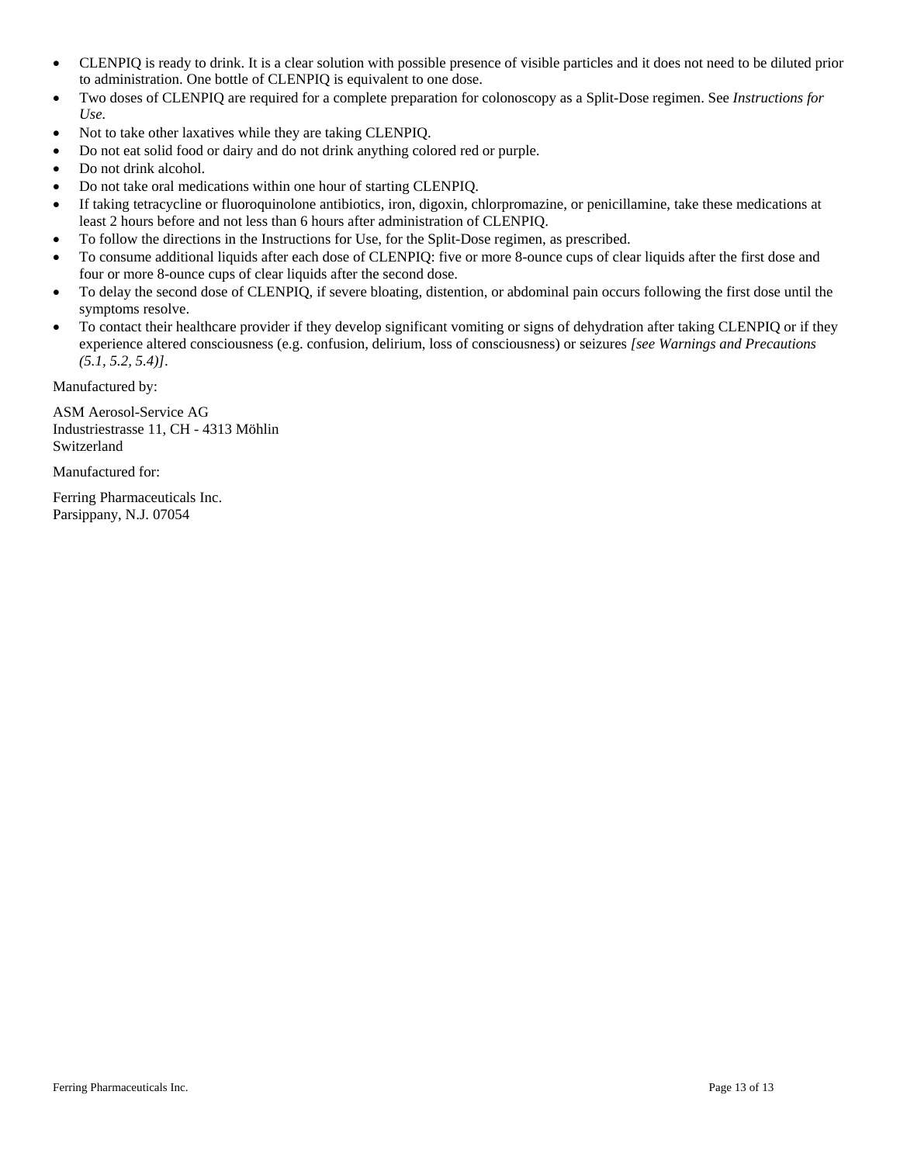- CLENPIQ is ready to drink. It is a clear solution with possible presence of visible particles and it does not need to be diluted prior to administration. One bottle of CLENPIQ is equivalent to one dose.
- Two doses of CLENPIQ are required for a complete preparation for colonoscopy as a Split-Dose regimen. See *Instructions for Use.*
- Not to take other laxatives while they are taking CLENPIQ.
- Do not eat solid food or dairy and do not drink anything colored red or purple.
- Do not drink alcohol.
- Do not take oral medications within one hour of starting CLENPIQ.
- If taking tetracycline or fluoroquinolone antibiotics, iron, digoxin, chlorpromazine, or penicillamine, take these medications at least 2 hours before and not less than 6 hours after administration of CLENPIQ.
- To follow the directions in the Instructions for Use, for the Split-Dose regimen, as prescribed.
- To consume additional liquids after each dose of CLENPIQ: five or more 8-ounce cups of clear liquids after the first dose and four or more 8-ounce cups of clear liquids after the second dose.
- To delay the second dose of CLENPIQ, if severe bloating, distention, or abdominal pain occurs following the first dose until the symptoms resolve.
- To contact their healthcare provider if they develop significant vomiting or signs of dehydration after taking CLENPIQ or if they experience altered consciousness (e.g. confusion, delirium, loss of consciousness) or seizures *[see Warnings and Precautions (5.1, 5.2, 5.4)]*.

Manufactured by:

ASM Aerosol-Service AG Industriestrasse 11, CH - 4313 Möhlin Switzerland

Manufactured for:

Ferring Pharmaceuticals Inc. Parsippany, N.J. 07054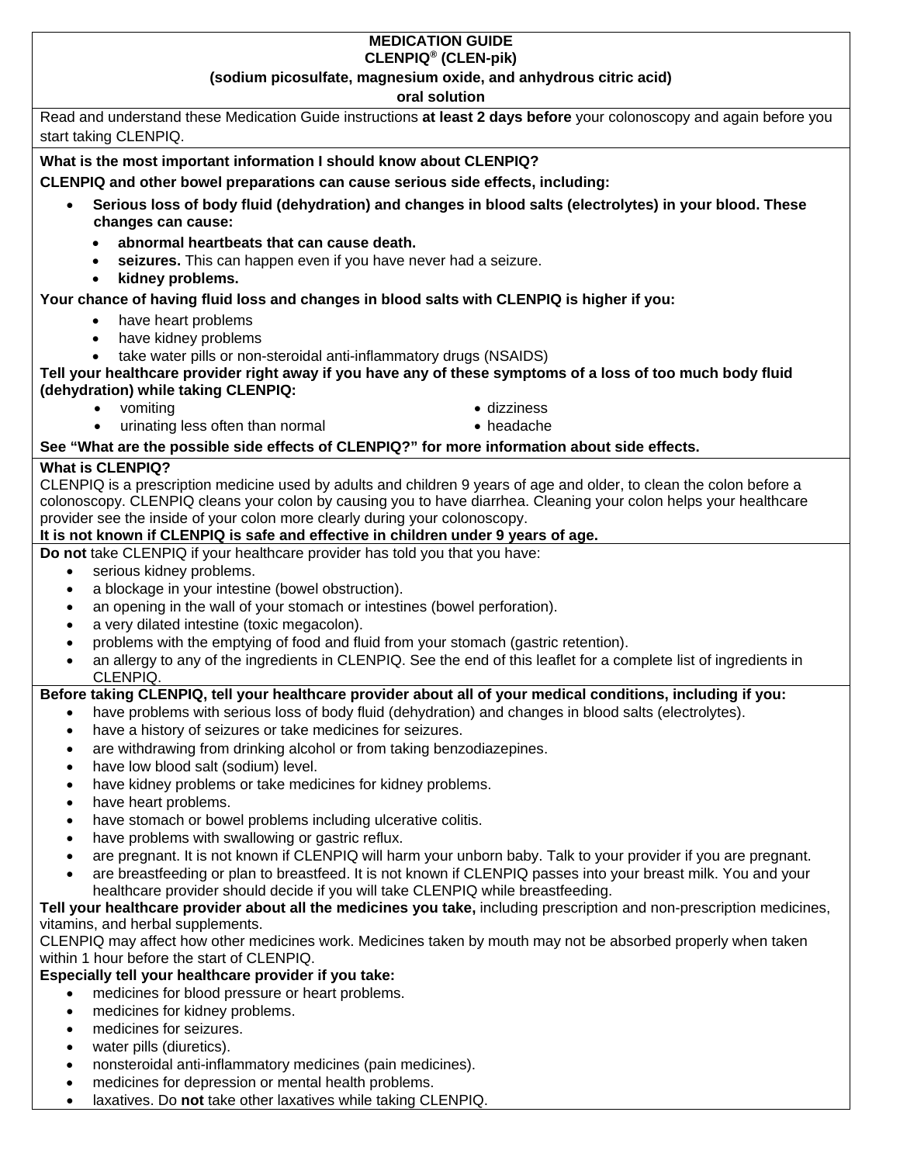## **MEDICATION GUIDE CLENPIQ® (CLEN-pik)**

# **(sodium picosulfate, magnesium oxide, and anhydrous citric acid)**

| oral solution                                                                                                                                                                                                  |  |
|----------------------------------------------------------------------------------------------------------------------------------------------------------------------------------------------------------------|--|
| Read and understand these Medication Guide instructions at least 2 days before your colonoscopy and again before you                                                                                           |  |
| start taking CLENPIQ.                                                                                                                                                                                          |  |
| What is the most important information I should know about CLENPIQ?                                                                                                                                            |  |
| CLENPIQ and other bowel preparations can cause serious side effects, including:                                                                                                                                |  |
| Serious loss of body fluid (dehydration) and changes in blood salts (electrolytes) in your blood. These<br>$\bullet$                                                                                           |  |
| changes can cause:                                                                                                                                                                                             |  |
| abnormal heartbeats that can cause death.                                                                                                                                                                      |  |
| seizures. This can happen even if you have never had a seizure.                                                                                                                                                |  |
| kidney problems.<br>$\bullet$                                                                                                                                                                                  |  |
| Your chance of having fluid loss and changes in blood salts with CLENPIQ is higher if you:                                                                                                                     |  |
| have heart problems                                                                                                                                                                                            |  |
| have kidney problems<br>$\bullet$                                                                                                                                                                              |  |
| take water pills or non-steroidal anti-inflammatory drugs (NSAIDS)                                                                                                                                             |  |
| Tell your healthcare provider right away if you have any of these symptoms of a loss of too much body fluid                                                                                                    |  |
| (dehydration) while taking CLENPIQ:                                                                                                                                                                            |  |
| • vomiting<br>· dizziness                                                                                                                                                                                      |  |
| urinating less often than normal<br>• headache<br>$\bullet$                                                                                                                                                    |  |
| See "What are the possible side effects of CLENPIQ?" for more information about side effects.                                                                                                                  |  |
| <b>What is CLENPIQ?</b>                                                                                                                                                                                        |  |
| CLENPIQ is a prescription medicine used by adults and children 9 years of age and older, to clean the colon before a                                                                                           |  |
| colonoscopy. CLENPIQ cleans your colon by causing you to have diarrhea. Cleaning your colon helps your healthcare                                                                                              |  |
| provider see the inside of your colon more clearly during your colonoscopy.                                                                                                                                    |  |
| It is not known if CLENPIQ is safe and effective in children under 9 years of age.<br>Do not take CLENPIQ if your healthcare provider has told you that you have:                                              |  |
| serious kidney problems.<br>$\bullet$                                                                                                                                                                          |  |
| a blockage in your intestine (bowel obstruction).<br>$\bullet$                                                                                                                                                 |  |
| an opening in the wall of your stomach or intestines (bowel perforation).<br>$\bullet$                                                                                                                         |  |
| a very dilated intestine (toxic megacolon).<br>$\bullet$                                                                                                                                                       |  |
| problems with the emptying of food and fluid from your stomach (gastric retention).<br>$\bullet$                                                                                                               |  |
| an allergy to any of the ingredients in CLENPIQ. See the end of this leaflet for a complete list of ingredients in<br>$\bullet$                                                                                |  |
| CLENPIQ.                                                                                                                                                                                                       |  |
| Before taking CLENPIQ, tell your healthcare provider about all of your medical conditions, including if you:                                                                                                   |  |
| have problems with serious loss of body fluid (dehydration) and changes in blood salts (electrolytes).<br>$\bullet$                                                                                            |  |
| have a history of seizures or take medicines for seizures.<br>$\bullet$                                                                                                                                        |  |
| are withdrawing from drinking alcohol or from taking benzodiazepines                                                                                                                                           |  |
| have low blood salt (sodium) level.<br>$\bullet$                                                                                                                                                               |  |
| have kidney problems or take medicines for kidney problems.<br>$\bullet$                                                                                                                                       |  |
| have heart problems.<br>$\bullet$                                                                                                                                                                              |  |
| have stomach or bowel problems including ulcerative colitis.<br>$\bullet$                                                                                                                                      |  |
| have problems with swallowing or gastric reflux.<br>$\bullet$                                                                                                                                                  |  |
| are pregnant. It is not known if CLENPIQ will harm your unborn baby. Talk to your provider if you are pregnant.<br>$\bullet$                                                                                   |  |
| are breastfeeding or plan to breastfeed. It is not known if CLENPIQ passes into your breast milk. You and your<br>$\bullet$<br>healthcare provider should decide if you will take CLENPIQ while breastfeeding. |  |
| Tell your healthcare provider about all the medicines you take, including prescription and non-prescription medicines,                                                                                         |  |
| vitamins, and herbal supplements.                                                                                                                                                                              |  |
| CLENPIQ may affect how other medicines work. Medicines taken by mouth may not be absorbed properly when taken                                                                                                  |  |
| within 1 hour before the start of CLENPIQ.                                                                                                                                                                     |  |
| Especially tell your healthcare provider if you take:                                                                                                                                                          |  |
| medicines for blood pressure or heart problems.<br>$\bullet$                                                                                                                                                   |  |
| medicines for kidney problems.<br>$\bullet$                                                                                                                                                                    |  |
| medicines for seizures.<br>$\bullet$                                                                                                                                                                           |  |
| water pills (diuretics).<br>٠                                                                                                                                                                                  |  |

- nonsteroidal anti-inflammatory medicines (pain medicines).
- medicines for depression or mental health problems.
- laxatives. Do **not** take other laxatives while taking CLENPIQ.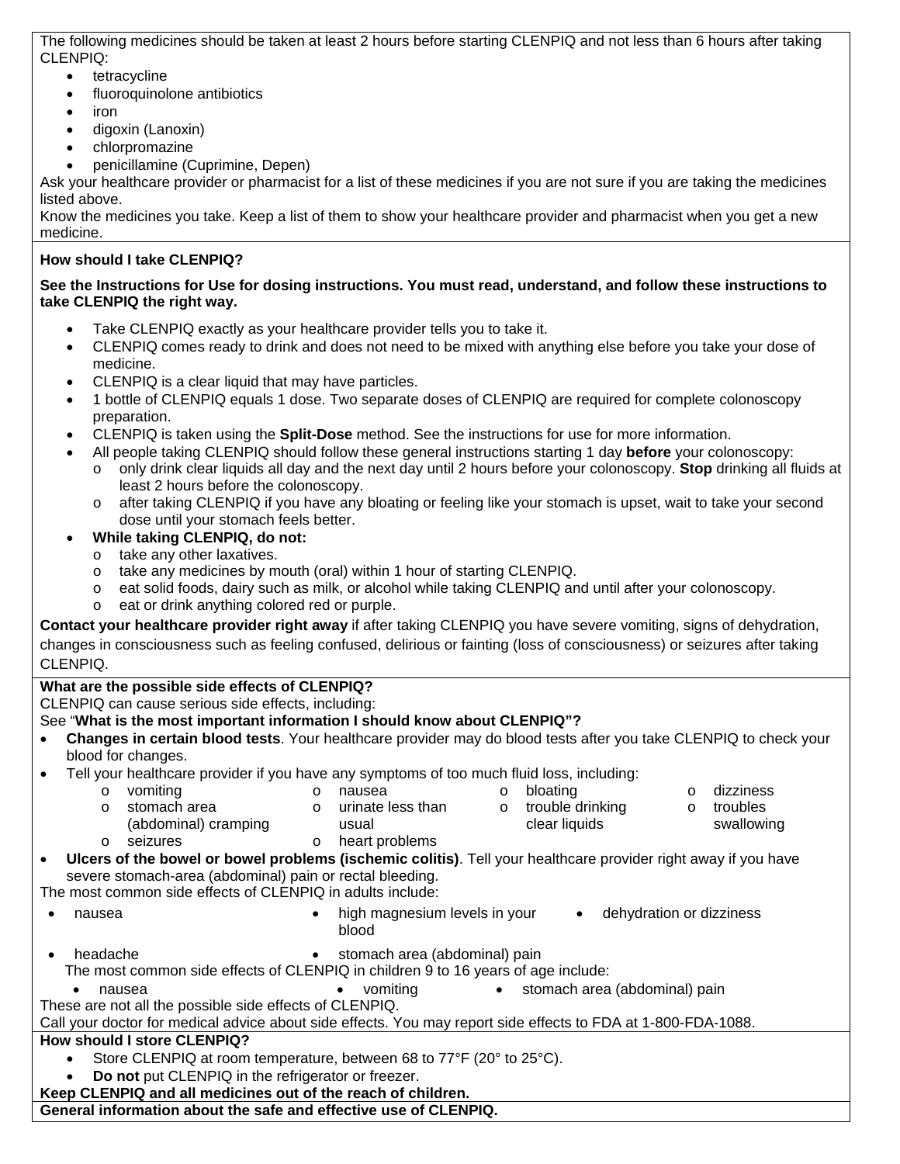The following medicines should be taken at least 2 hours before starting CLENPIQ and not less than 6 hours after taking CLENPIQ:

- tetracycline
- fluoroquinolone antibiotics
- iron
- digoxin (Lanoxin)
- chlorpromazine
- penicillamine (Cuprimine, Depen)

Ask your healthcare provider or pharmacist for a list of these medicines if you are not sure if you are taking the medicines listed above.

Know the medicines you take. Keep a list of them to show your healthcare provider and pharmacist when you get a new medicine.

# **How should I take CLENPIQ?**

# **See the Instructions for Use for dosing instructions. You must read, understand, and follow these instructions to take CLENPIQ the right way.**

- Take CLENPIQ exactly as your healthcare provider tells you to take it.
- CLENPIQ comes ready to drink and does not need to be mixed with anything else before you take your dose of medicine.
- CLENPIQ is a clear liquid that may have particles.
- 1 bottle of CLENPIQ equals 1 dose. Two separate doses of CLENPIQ are required for complete colonoscopy preparation.
- CLENPIQ is taken using the **Split-Dose** method. See the instructions for use for more information.
	- All people taking CLENPIQ should follow these general instructions starting 1 day **before** your colonoscopy:
	- o only drink clear liquids all day and the next day until 2 hours before your colonoscopy. **Stop** drinking all fluids at least 2 hours before the colonoscopy.
	- o after taking CLENPIQ if you have any bloating or feeling like your stomach is upset, wait to take your second dose until your stomach feels better.
- **While taking CLENPIQ, do not:**
	- o take any other laxatives.
	- o take any medicines by mouth (oral) within 1 hour of starting CLENPIQ.
	- o eat solid foods, dairy such as milk, or alcohol while taking CLENPIQ and until after your colonoscopy.
	- o eat or drink anything colored red or purple.

**Contact your healthcare provider right away** if after taking CLENPIQ you have severe vomiting, signs of dehydration, changes in consciousness such as feeling confused, delirious or fainting (loss of consciousness) or seizures after taking CLENPIQ.

# **What are the possible side effects of CLENPIQ?**

CLENPIQ can cause serious side effects, including:

# See "**What is the most important information I should know about CLENPIQ"?**

- **Changes in certain blood tests**. Your healthcare provider may do blood tests after you take CLENPIQ to check your blood for changes.
- Tell your healthcare provider if you have any symptoms of too much fluid loss, including:
	- o vomiting o nausea o bloating o dizziness
	- o stomach area
- usual
- o urinate less than
- o trouble drinking clear liquids
- o troubles
- swallowing
- (abdominal) cramping
- o seizures o heart problems
- **Ulcers of the bowel or bowel problems (ischemic colitis)**. Tell your healthcare provider right away if you have severe stomach-area (abdominal) pain or rectal bleeding.

The most common side effects of CLENPIQ in adults include:

- - nausea high magnesium levels in your blood • dehydration or dizziness
- 
- headache stomach area (abdominal) pain
- The most common side effects of CLENPIQ in children 9 to 16 years of age include:
- nausea vomiting stomach area (abdominal) pain

These are not all the possible side effects of CLENPIQ.

Call your doctor for medical advice about side effects. You may report side effects to FDA at 1-800-FDA-1088.

# **How should I store CLENPIQ?**

- Store CLENPIQ at room temperature, between 68 to 77°F (20° to 25°C).
- **Do not** put CLENPIQ in the refrigerator or freezer.

**Keep CLENPIQ and all medicines out of the reach of children.**

**General information about the safe and effective use of CLENPIQ.**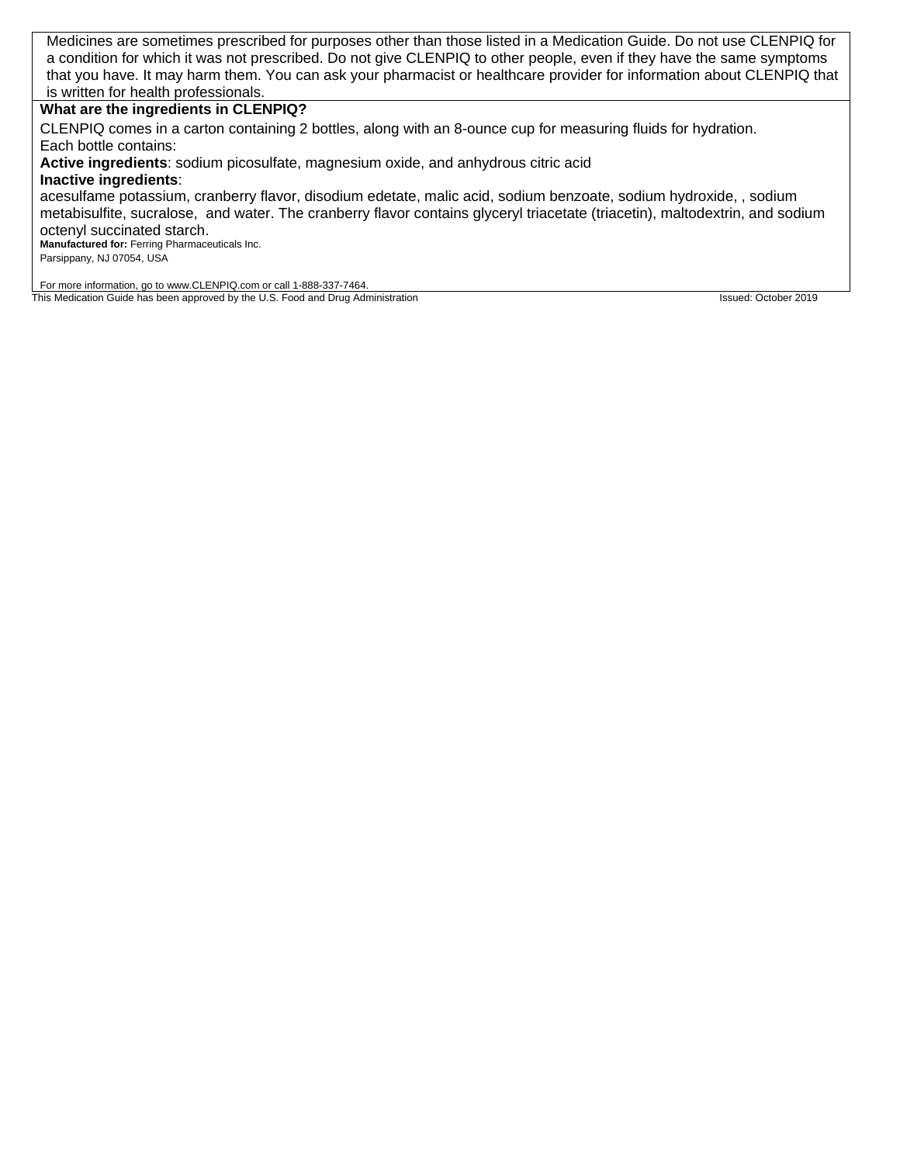Medicines are sometimes prescribed for purposes other than those listed in a Medication Guide. Do not use CLENPIQ for a condition for which it was not prescribed. Do not give CLENPIQ to other people, even if they have the same symptoms that you have. It may harm them. You can ask your pharmacist or healthcare provider for information about CLENPIQ that is written for health professionals.

## **What are the ingredients in CLENPIQ?**

CLENPIQ comes in a carton containing 2 bottles, along with an 8-ounce cup for measuring fluids for hydration. Each bottle contains:

**Active ingredients**: sodium picosulfate, magnesium oxide, and anhydrous citric acid

## **Inactive ingredients**:

acesulfame potassium, cranberry flavor, disodium edetate, malic acid, sodium benzoate, sodium hydroxide, , sodium metabisulfite, sucralose, and water. The cranberry flavor contains glyceryl triacetate (triacetin), maltodextrin, and sodium octenyl succinated starch.

**Manufactured for:** Ferring Pharmaceuticals Inc.

Parsippany, NJ 07054, USA

For more information, go to www.CLENPIQ.com or call 1-888-337-7464. This Medication Guide has been approved by the U.S. Food and Drug Administration Intervention Issued: October 2019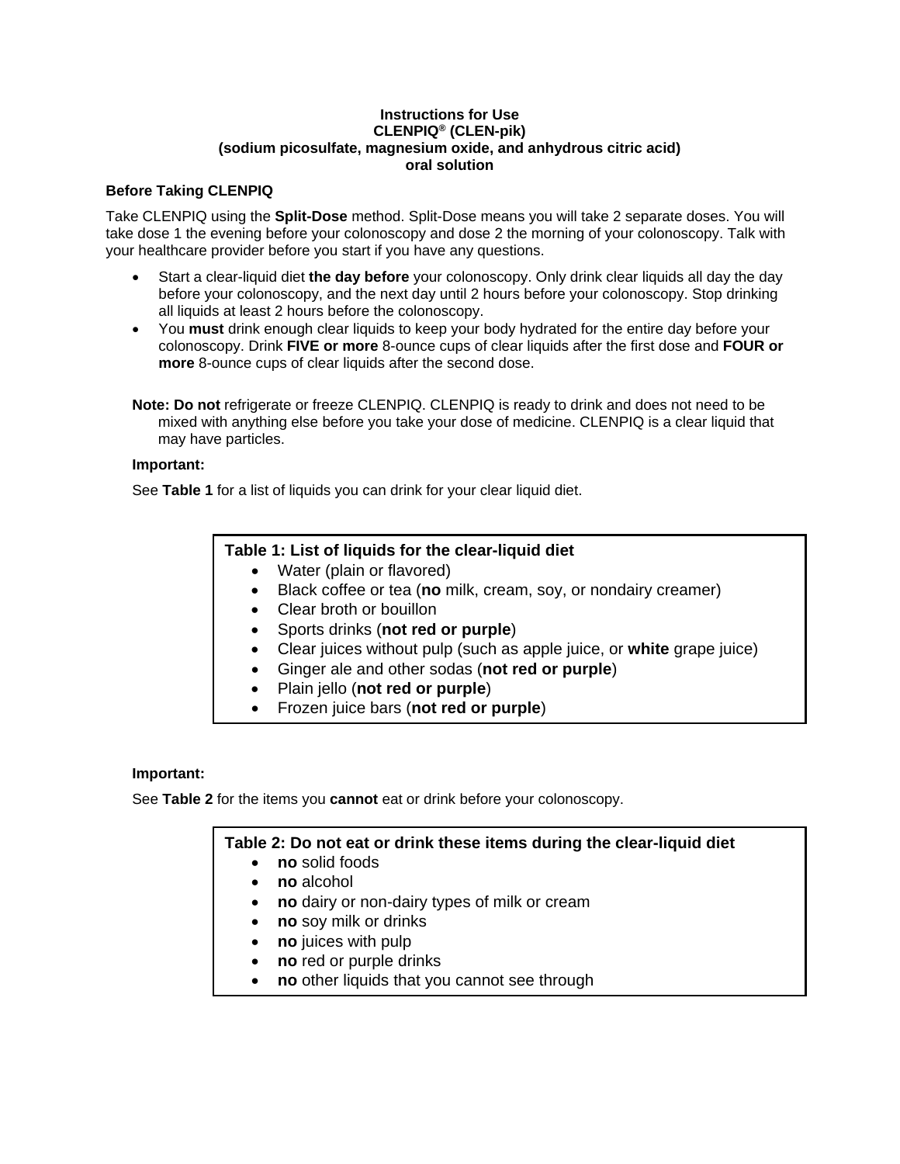## **Instructions for Use CLENPIQ® (CLEN-pik) (sodium picosulfate, magnesium oxide, and anhydrous citric acid) oral solution**

# **Before Taking CLENPIQ**

Take CLENPIQ using the **Split-Dose** method. Split-Dose means you will take 2 separate doses. You will take dose 1 the evening before your colonoscopy and dose 2 the morning of your colonoscopy. Talk with your healthcare provider before you start if you have any questions.

- Start a clear-liquid diet **the day before** your colonoscopy. Only drink clear liquids all day the day before your colonoscopy, and the next day until 2 hours before your colonoscopy. Stop drinking all liquids at least 2 hours before the colonoscopy.
- You **must** drink enough clear liquids to keep your body hydrated for the entire day before your colonoscopy. Drink **FIVE or more** 8-ounce cups of clear liquids after the first dose and **FOUR or more** 8-ounce cups of clear liquids after the second dose.
- **Note: Do not** refrigerate or freeze CLENPIQ. CLENPIQ is ready to drink and does not need to be mixed with anything else before you take your dose of medicine. CLENPIQ is a clear liquid that may have particles.

## **Important:**

See **Table 1** for a list of liquids you can drink for your clear liquid diet.

# **Table 1: List of liquids for the clear-liquid diet**

- Water (plain or flavored)
- Black coffee or tea (**no** milk, cream, soy, or nondairy creamer)
- Clear broth or bouillon
- Sports drinks (**not red or purple**)
- Clear juices without pulp (such as apple juice, or **white** grape juice)
- Ginger ale and other sodas (**not red or purple**)
- Plain jello (**not red or purple**)
- Frozen juice bars (**not red or purple**)

# **Important:**

See **Table 2** for the items you **cannot** eat or drink before your colonoscopy.

# **Table 2: Do not eat or drink these items during the clear-liquid diet**

- **no** solid foods
- **no** alcohol
- **no** dairy or non-dairy types of milk or cream
- **no** soy milk or drinks
- **no** juices with pulp
- **no** red or purple drinks
- **no** other liquids that you cannot see through